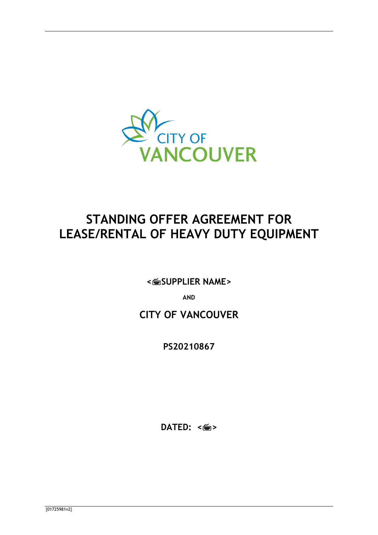

# **STANDING OFFER AGREEMENT FOR LEASE/RENTAL OF HEAVY DUTY EQUIPMENT**

**<SUPPLIER NAME>**

**AND**

## **CITY OF VANCOUVER**

**PS20210867**

**DATED:** <<del>圖</del>>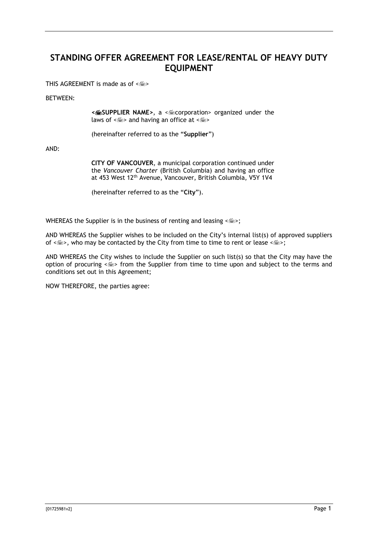## **STANDING OFFER AGREEMENT FOR LEASE/RENTAL OF HEAVY DUTY EQUIPMENT**

THIS AGREEMENT is made as of  $\leq m$ 

## BETWEEN:

**<SUPPLIER NAME>**, a <corporation> organized under the laws of  $\leq$   $\leq$  > and having an office at  $\leq$   $\leq$   $\leq$ 

(hereinafter referred to as the "**Supplier**")

AND:

**CITY OF VANCOUVER**, a municipal corporation continued under the *Vancouver Charter* (British Columbia) and having an office at 453 West 12th Avenue, Vancouver, British Columbia, V5Y 1V4

(hereinafter referred to as the "**City**").

WHEREAS the Supplier is in the business of renting and leasing  $\leq$   $\leq$  >;

AND WHEREAS the Supplier wishes to be included on the City's internal list(s) of approved suppliers of  $\leq$   $\leq$   $>$ , who may be contacted by the City from time to time to rent or lease  $\leq$   $\leq$   $>$ ;

AND WHEREAS the City wishes to include the Supplier on such list(s) so that the City may have the option of procuring << > from the Supplier from time to time upon and subject to the terms and conditions set out in this Agreement;

NOW THEREFORE, the parties agree: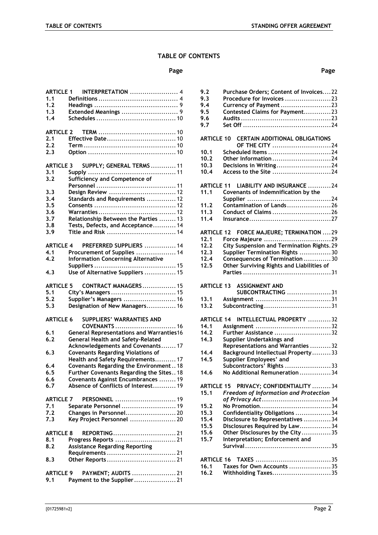## **TABLE OF CONTENTS**

#### **Page Page**

| <b>ARTICLE 1</b> | INTERPRETATION  4                               |
|------------------|-------------------------------------------------|
| 1.1              |                                                 |
| 1.2              |                                                 |
| 1.3              |                                                 |
| 1.4              |                                                 |
|                  |                                                 |
| ARTICLE 2        |                                                 |
| 2.1              |                                                 |
| 2.2              |                                                 |
| 2.3              |                                                 |
|                  |                                                 |
| <b>ARTICLE 3</b> | SUPPLY; GENERAL TERMS  11                       |
| 3.1              |                                                 |
| 3.2              | Sufficiency and Competence of                   |
|                  |                                                 |
| 3.3              | Design Review  12                               |
| 3.4              | Standards and Requirements  12                  |
| 3.5              |                                                 |
| 3.6              |                                                 |
| 3.7              | Relationship Between the Parties  13            |
| 3.8              | Tests, Defects, and Acceptance 14               |
| 3.9              | Title and Risk  14                              |
|                  |                                                 |
| <b>ARTICLE 4</b> | PREFERRED SUPPLIERS  14                         |
| 4.1              | Procurement of Supplies  14                     |
| 4.2              | <b>Information Concerning Alternative</b>       |
|                  |                                                 |
| 4.3              | Use of Alternative Suppliers  15                |
| ARTICLE 5        | <b>CONTRACT MANAGERS 15</b>                     |
| $5.1$            | City's Managers  15                             |
| 5.2              | Supplier's Managers  16                         |
| 5.3              | Designation of New Managers 16                  |
|                  |                                                 |
| <b>ARTICLE 6</b> | <b>SUPPLIERS' WARRANTIES AND</b>                |
|                  | COVENANTS  16                                   |
| 6.1              | <b>General Representations and Warranties16</b> |
| 6.2              | <b>General Health and Safety-Related</b>        |
|                  | Acknowledgements and Covenants 17               |
| 6.3              | <b>Covenants Regarding Violations of</b>        |
|                  | Health and Safety Requirements 17               |
| 6.4              | Covenants Regarding the Environment18           |
| 6.5              | Further Covenants Regarding the Sites 18        |
| 6.6              | Covenants Against Encumbrances  19              |
| 6.7              | Absence of Conflicts of Interest 19             |
| <b>ARTICLE 7</b> | PERSONNEL  19                                   |
| 7.1              | Separate Personnel  19                          |
| 7.2              | Changes in Personnel 20                         |
| 7.3              | Key Project Personnel  20                       |
|                  |                                                 |
| <b>ARTICLE 8</b> | REPORTING21                                     |
| 8.1              |                                                 |
| 8.2              | <b>Assistance Regarding Reporting</b>           |
|                  |                                                 |
| 8.3              |                                                 |
|                  |                                                 |
| <b>ARTICLE 9</b> | PAYMENT; AUDITS  21                             |
| 9.1              | Payment to the Supplier 21                      |

| 9.2                                          | Purchase Orders; Content of Invoices22       |
|----------------------------------------------|----------------------------------------------|
| 9.3                                          | Procedure for Invoices 23                    |
| 9.4                                          | Currency of Payment 23                       |
| 9.5                                          | Contested Claims for Payment23               |
| 9.6                                          |                                              |
|                                              |                                              |
| 9.7                                          |                                              |
|                                              | ARTICLE 10 CERTAIN ADDITIONAL OBLIGATIONS    |
|                                              | OF THE CITY 24                               |
| 10.1                                         | Scheduled Items 24                           |
| 10.2                                         | Other Information 24                         |
| 10.3                                         | Decisions in Writing24                       |
| 10.4                                         |                                              |
|                                              | Access to the Site 24                        |
| <b>ARTICLE 11</b>                            | LIABILITY AND INSURANCE 24                   |
| 11.1                                         | Covenants of Indemnification by the          |
|                                              |                                              |
| 11.2                                         | Contamination of Lands26                     |
| 11.3                                         | Conduct of Claims 26                         |
| 11.4                                         |                                              |
|                                              |                                              |
| ARTICLE 12                                   | FORCE MAJEURE; TERMINATION  29               |
| 12.1                                         | Force Majeure 29                             |
| 12.2                                         | City Suspension and Termination Rights. 29   |
| 12.3                                         | Supplier Termination Rights 30               |
| 12.4                                         | Consequences of Termination 30               |
| 12.5                                         | Other Surviving Rights and Liabilities of    |
|                                              |                                              |
|                                              |                                              |
|                                              |                                              |
| ARTICLE 13                                   | <b>ASSIGNMENT AND</b>                        |
|                                              | SUBCONTRACTING 31                            |
| 13.1                                         |                                              |
| 13.2                                         | Subcontracting31                             |
|                                              |                                              |
| <b>ARTICLE 14</b>                            | INTELLECTUAL PROPERTY 32                     |
| 14.1                                         |                                              |
| 14.2                                         | Further Assistance 32                        |
| 14.3                                         | Supplier Undertakings and                    |
|                                              | Representations and Warranties  32           |
| 14.4                                         | Background Intellectual Property33           |
| 14.5                                         | Supplier Employees' and                      |
|                                              | Subcontractors' Rights 33                    |
| 14.6                                         | No Additional Remuneration 34                |
|                                              |                                              |
| <b>ARTICLE 15</b>                            | PRIVACY; CONFIDENTIALITY 34                  |
|                                              | <b>Freedom of Information and Protection</b> |
|                                              | of Privacy Act34                             |
|                                              |                                              |
|                                              | Confidentiality Obligations 34               |
|                                              | Disclosure to Representatives 34             |
|                                              | Disclosures Required by Law34                |
| 15.1<br>15.2<br>15.3<br>15.4<br>15.5<br>15.6 | Other Disclosures by the City35              |
|                                              | Interpretation; Enforcement and              |
| 15.7                                         |                                              |
|                                              |                                              |

**16.1 [Taxes for Own Accounts](#page-35-3)** ....................35 **16.2 Withholding Taxes**[............................35](#page-35-4)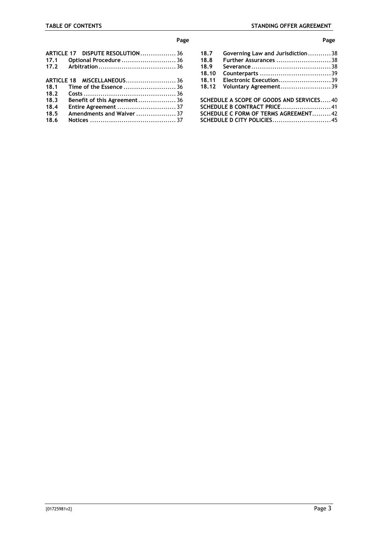#### **Page Page**

|      | ARTICLE 17 DISPUTE RESOLUTION36 |  |
|------|---------------------------------|--|
| 17.1 | Optional Procedure  36          |  |
|      |                                 |  |
|      |                                 |  |
|      |                                 |  |
| 18.1 |                                 |  |
| 18.2 |                                 |  |
| 18.3 | Benefit of this Agreement 36    |  |
| 18.4 | Entire Agreement  37            |  |
| 18.5 | Amendments and Waiver  37       |  |
| 18.6 |                                 |  |
|      |                                 |  |

| 18.7<br>18.8                             | Governing Law and Jurisdiction38<br>Further Assurances 38 |  |  |  |
|------------------------------------------|-----------------------------------------------------------|--|--|--|
| 18.9                                     |                                                           |  |  |  |
| 18.10                                    |                                                           |  |  |  |
| 18.11                                    | Electronic Execution39                                    |  |  |  |
| 18.12                                    | Voluntary Agreement39                                     |  |  |  |
| SCHEDULE A SCOPE OF GOODS AND SERVICES40 |                                                           |  |  |  |
|                                          |                                                           |  |  |  |
| SCHEDULE C FORM OF TERMS AGREEMENT42     |                                                           |  |  |  |
|                                          |                                                           |  |  |  |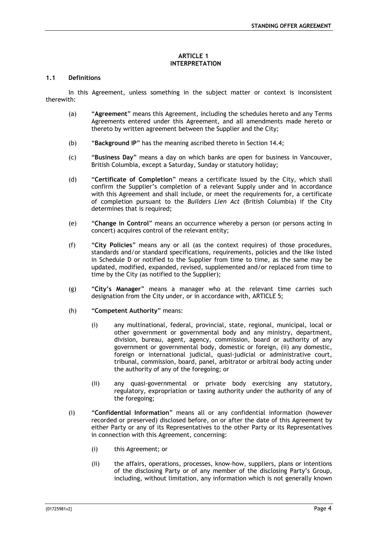#### **ARTICLE 1 INTERPRETATION**

## <span id="page-4-1"></span><span id="page-4-0"></span>**1.1 Definitions**

In this Agreement, unless something in the subject matter or context is inconsistent therewith:

- (a) "**Agreement**" means this Agreement, including the schedules hereto and any Terms Agreements entered under this Agreement, and all amendments made hereto or thereto by written agreement between the Supplier and the City;
- (b) "**Background IP**" has the meaning ascribed thereto in Section [14.4;](#page-33-0)
- (c) "**Business Day**" means a day on which banks are open for business in Vancouver, British Columbia, except a Saturday, Sunday or statutory holiday;
- (d) "**Certificate of Completion**" means a certificate issued by the City, which shall confirm the Supplier's completion of a relevant Supply under and in accordance with this Agreement and shall include, or meet the requirements for, a certificate of completion pursuant to the *Builders Lien Act* (British Columbia) if the City determines that is required;
- (e) "**Change in Control**" means an occurrence whereby a person (or persons acting in concert) acquires control of the relevant entity;
- (f) "**City Policies**" means any or all (as the context requires) of those procedures, standards and/or standard specifications, requirements, policies and the like listed in Schedule D or notified to the Supplier from time to time, as the same may be updated, modified, expanded, revised, supplemented and/or replaced from time to time by the City (as notified to the Supplier);
- (g) "**City's Manager**" means a manager who at the relevant time carries such designation from the City under, or in accordance with, [ARTICLE 5;](#page-15-2)
- (h) "**Competent Authority**" means:
	- (i) any multinational, federal, provincial, state, regional, municipal, local or other government or governmental body and any ministry, department, division, bureau, agent, agency, commission, board or authority of any government or governmental body, domestic or foreign, (ii) any domestic, foreign or international judicial, quasi-judicial or administrative court, tribunal, commission, board, panel, arbitrator or arbitral body acting under the authority of any of the foregoing; or
	- (ii) any quasi-governmental or private body exercising any statutory, regulatory, expropriation or taxing authority under the authority of any of the foregoing;
- (i) "**Confidential Information**" means all or any confidential information (however recorded or preserved) disclosed before, on or after the date of this Agreement by either Party or any of its Representatives to the other Party or its Representatives in connection with this Agreement, concerning:
	- (i) this Agreement; or
	- (ii) the affairs, operations, processes, know-how, suppliers, plans or intentions of the disclosing Party or of any member of the disclosing Party's Group, including, without limitation, any information which is not generally known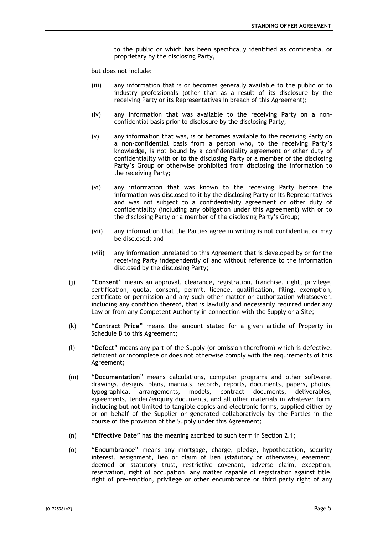to the public or which has been specifically identified as confidential or proprietary by the disclosing Party,

but does not include:

- (iii) any information that is or becomes generally available to the public or to industry professionals (other than as a result of its disclosure by the receiving Party or its Representatives in breach of this Agreement);
- (iv) any information that was available to the receiving Party on a nonconfidential basis prior to disclosure by the disclosing Party;
- (v) any information that was, is or becomes available to the receiving Party on a non-confidential basis from a person who, to the receiving Party's knowledge, is not bound by a confidentiality agreement or other duty of confidentiality with or to the disclosing Party or a member of the disclosing Party's Group or otherwise prohibited from disclosing the information to the receiving Party;
- (vi) any information that was known to the receiving Party before the information was disclosed to it by the disclosing Party or its Representatives and was not subject to a confidentiality agreement or other duty of confidentiality (including any obligation under this Agreement) with or to the disclosing Party or a member of the disclosing Party's Group;
- (vii) any information that the Parties agree in writing is not confidential or may be disclosed; and
- (viii) any information unrelated to this Agreement that is developed by or for the receiving Party independently of and without reference to the information disclosed by the disclosing Party;
- (j) "**Consent**" means an approval, clearance, registration, franchise, right, privilege, certification, quota, consent, permit, licence, qualification, filing, exemption, certificate or permission and any such other matter or authorization whatsoever, including any condition thereof, that is lawfully and necessarily required under any Law or from any Competent Authority in connection with the Supply or a Site;
- (k) "**Contract Price**" means the amount stated for a given article of Property in Schedule B to this Agreement;
- (l) "**Defect**" means any part of the Supply (or omission therefrom) which is defective, deficient or incomplete or does not otherwise comply with the requirements of this Agreement;
- (m) "**Documentation**" means calculations, computer programs and other software, drawings, designs, plans, manuals, records, reports, documents, papers, photos, typographical arrangements, models, contract documents, deliverables, agreements, tender/enquiry documents, and all other materials in whatever form, including but not limited to tangible copies and electronic forms, supplied either by or on behalf of the Supplier or generated collaboratively by the Parties in the course of the provision of the Supply under this Agreement;
- (n) "**Effective Date**" has the meaning ascribed to such term in Section [2.1;](#page-10-2)
- (o) "**Encumbrance**" means any mortgage, charge, pledge, hypothecation, security interest, assignment, lien or claim of lien (statutory or otherwise), easement, deemed or statutory trust, restrictive covenant, adverse claim, exception, reservation, right of occupation, any matter capable of registration against title, right of pre-emption, privilege or other encumbrance or third party right of any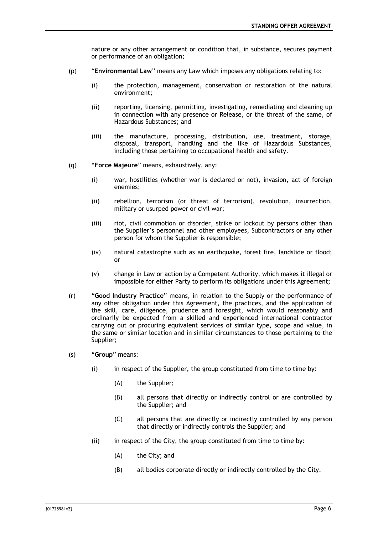nature or any other arrangement or condition that, in substance, secures payment or performance of an obligation;

- (p) "**Environmental Law**" means any Law which imposes any obligations relating to:
	- (i) the protection, management, conservation or restoration of the natural environment;
	- (ii) reporting, licensing, permitting, investigating, remediating and cleaning up in connection with any presence or Release, or the threat of the same, of Hazardous Substances; and
	- (iii) the manufacture, processing, distribution, use, treatment, storage, disposal, transport, handling and the like of Hazardous Substances, including those pertaining to occupational health and safety.
- (q) "**Force Majeure**" means, exhaustively, any:
	- (i) war, hostilities (whether war is declared or not), invasion, act of foreign enemies;
	- (ii) rebellion, terrorism (or threat of terrorism), revolution, insurrection, military or usurped power or civil war;
	- (iii) riot, civil commotion or disorder, strike or lockout by persons other than the Supplier's personnel and other employees, Subcontractors or any other person for whom the Supplier is responsible;
	- (iv) natural catastrophe such as an earthquake, forest fire, landslide or flood; or
	- (v) change in Law or action by a Competent Authority, which makes it illegal or impossible for either Party to perform its obligations under this Agreement;
- (r) "**Good Industry Practice**" means, in relation to the Supply or the performance of any other obligation under this Agreement, the practices, and the application of the skill, care, diligence, prudence and foresight, which would reasonably and ordinarily be expected from a skilled and experienced international contractor carrying out or procuring equivalent services of similar type, scope and value, in the same or similar location and in similar circumstances to those pertaining to the Supplier;
- (s) "**Group**" means:
	- (i) in respect of the Supplier, the group constituted from time to time by:
		- (A) the Supplier;
		- (B) all persons that directly or indirectly control or are controlled by the Supplier; and
		- (C) all persons that are directly or indirectly controlled by any person that directly or indirectly controls the Supplier; and
	- (ii) in respect of the City, the group constituted from time to time by:
		- (A) the City; and
		- (B) all bodies corporate directly or indirectly controlled by the City.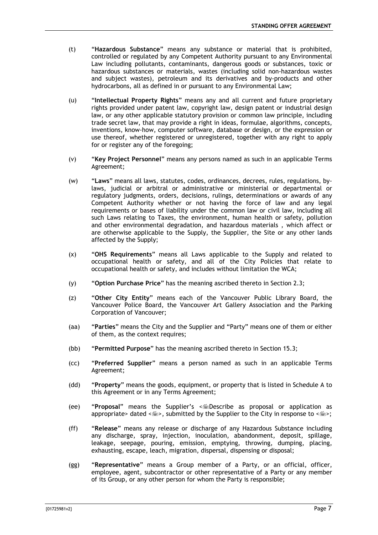- (t) "**Hazardous Substance**" means any substance or material that is prohibited, controlled or regulated by any Competent Authority pursuant to any Environmental Law including pollutants, contaminants, dangerous goods or substances, toxic or hazardous substances or materials, wastes (including solid non-hazardous wastes and subject wastes), petroleum and its derivatives and by-products and other hydrocarbons, all as defined in or pursuant to any Environmental Law;
- (u) "**Intellectual Property Rights**" means any and all current and future proprietary rights provided under patent law, copyright law, design patent or industrial design law, or any other applicable statutory provision or common law principle, including trade secret law, that may provide a right in ideas, formulae, algorithms, concepts, inventions, know-how, computer software, database or design, or the expression or use thereof, whether registered or unregistered, together with any right to apply for or register any of the foregoing;
- (v) "**Key Project Personnel**" means any persons named as such in an applicable Terms Agreement;
- (w) "**Laws**" means all laws, statutes, codes, ordinances, decrees, rules, regulations, bylaws, judicial or arbitral or administrative or ministerial or departmental or regulatory judgments, orders, decisions, rulings, determinations or awards of any Competent Authority whether or not having the force of law and any legal requirements or bases of liability under the common law or civil law, including all such Laws relating to Taxes, the environment, human health or safety, pollution and other environmental degradation, and hazardous materials , which affect or are otherwise applicable to the Supply, the Supplier, the Site or any other lands affected by the Supply;
- (x) "**OHS Requirements**" means all Laws applicable to the Supply and related to occupational health or safety, and all of the City Policies that relate to occupational health or safety, and includes without limitation the WCA;
- (y) "**Option Purchase Price**" has the meaning ascribed thereto in Section 2.3;
- (z) "**Other City Entity**" means each of the Vancouver Public Library Board, the Vancouver Police Board, the Vancouver Art Gallery Association and the Parking Corporation of Vancouver;
- (aa) "**Parties**" means the City and the Supplier and "Party" means one of them or either of them, as the context requires;
- (bb) "**Permitted Purpose**" has the meaning ascribed thereto in Section [15.3;](#page-34-4)
- (cc) "**Preferred Supplier**" means a person named as such in an applicable Terms Agreement;
- (dd) "**Property**" means the goods, equipment, or property that is listed in Schedule A to this Agreement or in any Terms Agreement;
- (ee) **"Proposal"** means the Supplier's <
Describe as proposal or application as appropriate> dated < $\leq$  >, submitted by the Supplier to the City in response to < $\leq$  >;
- (ff) "**Release**" means any release or discharge of any Hazardous Substance including any discharge, spray, injection, inoculation, abandonment, deposit, spillage, leakage, seepage, pouring, emission, emptying, throwing, dumping, placing, exhausting, escape, leach, migration, dispersal, dispensing or disposal;
- (gg) "**Representative**" means a Group member of a Party, or an official, officer, employee, agent, subcontractor or other representative of a Party or any member of its Group, or any other person for whom the Party is responsible;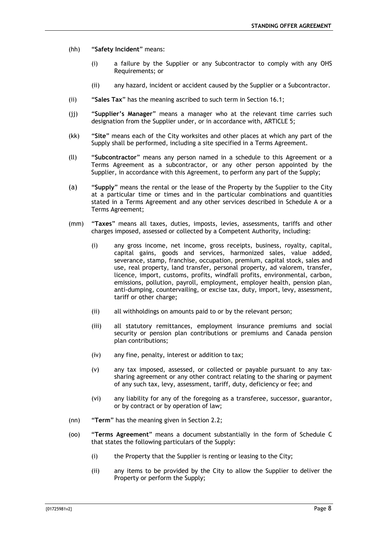- (hh) "**Safety Incident**" means:
	- (i) a failure by the Supplier or any Subcontractor to comply with any OHS Requirements; or
	- (ii) any hazard, incident or accident caused by the Supplier or a Subcontractor.
- (ii) "**Sales Tax**" has the meaning ascribed to such term in Section [16.1;](#page-35-3)
- (jj) "**Supplier's Manager**" means a manager who at the relevant time carries such designation from the Supplier under, or in accordance with, [ARTICLE 5;](#page-15-2)
- (kk) "**Site**" means each of the City worksites and other places at which any part of the Supply shall be performed, including a site specified in a Terms Agreement.
- (ll) "**Subcontractor**" means any person named in a schedule to this Agreement or a Terms Agreement as a subcontractor, or any other person appointed by the Supplier, in accordance with this Agreement, to perform any part of the Supply;
- (a) "**Supply**" means the rental or the lease of the Property by the Supplier to the City at a particular time or times and in the particular combinations and quantities stated in a Terms Agreement and any other services described in Schedule A or a Terms Agreement;
- (mm) "**Taxes**" means all taxes, duties, imposts, levies, assessments, tariffs and other charges imposed, assessed or collected by a Competent Authority, including:
	- (i) any gross income, net income, gross receipts, business, royalty, capital, capital gains, goods and services, harmonized sales, value added, severance, stamp, franchise, occupation, premium, capital stock, sales and use, real property, land transfer, personal property, ad valorem, transfer, licence, import, customs, profits, windfall profits, environmental, carbon, emissions, pollution, payroll, employment, employer health, pension plan, anti-dumping, countervailing, or excise tax, duty, import, levy, assessment, tariff or other charge;
	- (ii) all withholdings on amounts paid to or by the relevant person;
	- (iii) all statutory remittances, employment insurance premiums and social security or pension plan contributions or premiums and Canada pension plan contributions;
	- (iv) any fine, penalty, interest or addition to tax;
	- (v) any tax imposed, assessed, or collected or payable pursuant to any taxsharing agreement or any other contract relating to the sharing or payment of any such tax, levy, assessment, tariff, duty, deficiency or fee; and
	- (vi) any liability for any of the foregoing as a transferee, successor, guarantor, or by contract or by operation of law;
- (nn) "**Term**" has the meaning given in Section 2.2;
- (oo) "**Terms Agreement**" means a document substantially in the form of Schedule C that states the following particulars of the Supply:
	- (i) the Property that the Supplier is renting or leasing to the City;
	- (ii) any items to be provided by the City to allow the Supplier to deliver the Property or perform the Supply;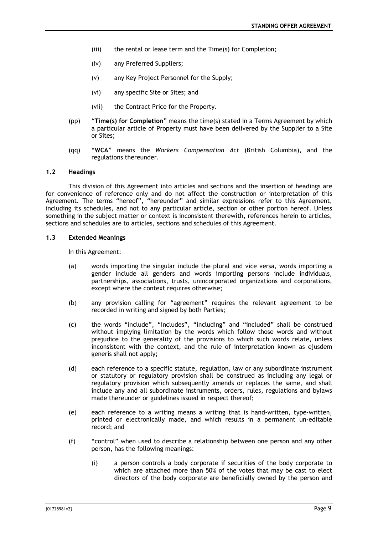- (iii) the rental or lease term and the Time(s) for Completion;
- (iv) any Preferred Suppliers;
- (v) any Key Project Personnel for the Supply;
- (vi) any specific Site or Sites; and
- (vii) the Contract Price for the Property.
- (pp) "**Time(s) for Completion**" means the time(s) stated in a Terms Agreement by which a particular article of Property must have been delivered by the Supplier to a Site or Sites;
- (qq) "**WCA**" means the *Workers Compensation Act* (British Columbia), and the regulations thereunder.

## <span id="page-9-0"></span>**1.2 Headings**

This division of this Agreement into articles and sections and the insertion of headings are for convenience of reference only and do not affect the construction or interpretation of this Agreement. The terms "hereof", "hereunder" and similar expressions refer to this Agreement, including its schedules, and not to any particular article, section or other portion hereof. Unless something in the subject matter or context is inconsistent therewith, references herein to articles, sections and schedules are to articles, sections and schedules of this Agreement.

## <span id="page-9-1"></span>**1.3 Extended Meanings**

In this Agreement:

- (a) words importing the singular include the plural and vice versa, words importing a gender include all genders and words importing persons include individuals, partnerships, associations, trusts, unincorporated organizations and corporations, except where the context requires otherwise;
- (b) any provision calling for "agreement" requires the relevant agreement to be recorded in writing and signed by both Parties;
- (c) the words "include", "includes", "including" and "included" shall be construed without implying limitation by the words which follow those words and without prejudice to the generality of the provisions to which such words relate, unless inconsistent with the context, and the rule of interpretation known as ejusdem generis shall not apply;
- (d) each reference to a specific statute, regulation, law or any subordinate instrument or statutory or regulatory provision shall be construed as including any legal or regulatory provision which subsequently amends or replaces the same, and shall include any and all subordinate instruments, orders, rules, regulations and bylaws made thereunder or guidelines issued in respect thereof;
- (e) each reference to a writing means a writing that is hand-written, type-written, printed or electronically made, and which results in a permanent un-editable record; and
- (f) "control" when used to describe a relationship between one person and any other person, has the following meanings:
	- (i) a person controls a body corporate if securities of the body corporate to which are attached more than 50% of the votes that may be cast to elect directors of the body corporate are beneficially owned by the person and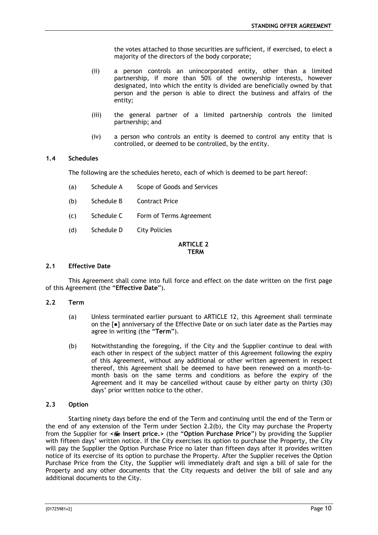the votes attached to those securities are sufficient, if exercised, to elect a majority of the directors of the body corporate;

- (ii) a person controls an unincorporated entity, other than a limited partnership, if more than 50% of the ownership interests, however designated, into which the entity is divided are beneficially owned by that person and the person is able to direct the business and affairs of the entity;
- (iii) the general partner of a limited partnership controls the limited partnership; and
- (iv) a person who controls an entity is deemed to control any entity that is controlled, or deemed to be controlled, by the entity.

## <span id="page-10-0"></span>**1.4 Schedules**

The following are the schedules hereto, each of which is deemed to be part hereof:

- (a) Schedule A Scope of Goods and Services
- (b) Schedule B Contract Price
- (c) Schedule C Form of Terms Agreement
- (d) Schedule D City Policies

#### **ARTICLE 2 TERM**

#### <span id="page-10-2"></span><span id="page-10-1"></span>**2.1 Effective Date**

This Agreement shall come into full force and effect on the date written on the first page of this Agreement (the "**Effective Date**").

#### <span id="page-10-3"></span>**2.2 Term**

- (a) Unless terminated earlier pursuant to [ARTICLE 12,](#page-29-0) this Agreement shall terminate on the [●] anniversary of the Effective Date or on such later date as the Parties may agree in writing (the "**Term**").
- (b) Notwithstanding the foregoing, if the City and the Supplier continue to deal with each other in respect of the subject matter of this Agreement following the expiry of this Agreement, without any additional or other written agreement in respect thereof, this Agreement shall be deemed to have been renewed on a month-tomonth basis on the same terms and conditions as before the expiry of the Agreement and it may be cancelled without cause by either party on thirty (30) days' prior written notice to the other.

#### <span id="page-10-4"></span>**2.3 Option**

Starting ninety days before the end of the Term and continuing until the end of the Term or the end of any extension of the Term under Section 2.2(b), the City may purchase the Property from the Supplier for **< Insert price.>** (the "**Option Purchase Price**") by providing the Supplier with fifteen days' written notice. If the City exercises its option to purchase the Property, the City will pay the Supplier the Option Purchase Price no later than fifteen days after it provides written notice of its exercise of its option to purchase the Property. After the Supplier receives the Option Purchase Price from the City, the Supplier will immediately draft and sign a bill of sale for the Property and any other documents that the City requests and deliver the bill of sale and any additional documents to the City.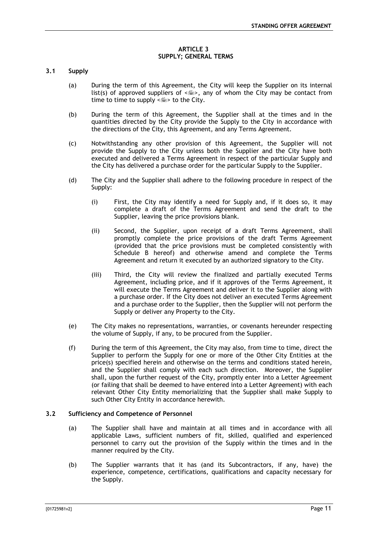#### **ARTICLE 3 SUPPLY; GENERAL TERMS**

## <span id="page-11-1"></span><span id="page-11-0"></span>**3.1 Supply**

- (a) During the term of this Agreement, the City will keep the Supplier on its internal list(s) of approved suppliers of  $\leq$   $\leq$  >, any of whom the City may be contact from time to time to supply  $\leq m$  to the City.
- (b) During the term of this Agreement, the Supplier shall at the times and in the quantities directed by the City provide the Supply to the City in accordance with the directions of the City, this Agreement, and any Terms Agreement.
- (c) Notwithstanding any other provision of this Agreement, the Supplier will not provide the Supply to the City unless both the Supplier and the City have both executed and delivered a Terms Agreement in respect of the particular Supply and the City has delivered a purchase order for the particular Supply to the Supplier.
- (d) The City and the Supplier shall adhere to the following procedure in respect of the Supply:
	- (i) First, the City may identify a need for Supply and, if it does so, it may complete a draft of the Terms Agreement and send the draft to the Supplier, leaving the price provisions blank.
	- (ii) Second, the Supplier, upon receipt of a draft Terms Agreement, shall promptly complete the price provisions of the draft Terms Agreement (provided that the price provisions must be completed consistently with Schedule B hereof) and otherwise amend and complete the Terms Agreement and return it executed by an authorized signatory to the City.
	- (iii) Third, the City will review the finalized and partially executed Terms Agreement, including price, and if it approves of the Terms Agreement, it will execute the Terms Agreement and deliver it to the Supplier along with a purchase order. If the City does not deliver an executed Terms Agreement and a purchase order to the Supplier, then the Supplier will not perform the Supply or deliver any Property to the City.
- (e) The City makes no representations, warranties, or covenants hereunder respecting the volume of Supply, if any, to be procured from the Supplier.
- (f) During the term of this Agreement, the City may also, from time to time, direct the Supplier to perform the Supply for one or more of the Other City Entities at the price(s) specified herein and otherwise on the terms and conditions stated herein, and the Supplier shall comply with each such direction. Moreover, the Supplier shall, upon the further request of the City, promptly enter into a Letter Agreement (or failing that shall be deemed to have entered into a Letter Agreement) with each relevant Other City Entity memorializing that the Supplier shall make Supply to such Other City Entity in accordance herewith.

## <span id="page-11-2"></span>**3.2 Sufficiency and Competence of Personnel**

- (a) The Supplier shall have and maintain at all times and in accordance with all applicable Laws, sufficient numbers of fit, skilled, qualified and experienced personnel to carry out the provision of the Supply within the times and in the manner required by the City.
- (b) The Supplier warrants that it has (and its Subcontractors, if any, have) the experience, competence, certifications, qualifications and capacity necessary for the Supply.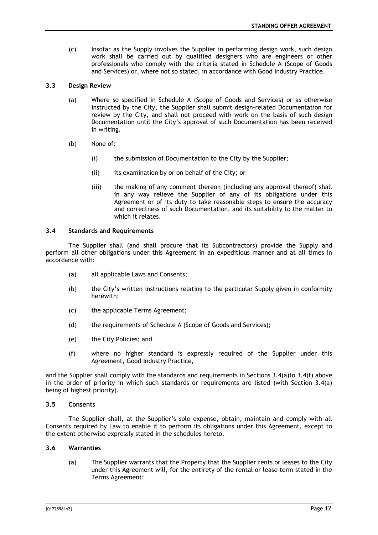(c) Insofar as the Supply involves the Supplier in performing design work, such design work shall be carried out by qualified designers who are engineers or other professionals who comply with the criteria stated in Schedule A (Scope of Goods and Services) or, where not so stated, in accordance with Good Industry Practice.

## <span id="page-12-0"></span>**3.3 Design Review**

- (a) Where so specified in Schedule A (Scope of Goods and Services) or as otherwise instructed by the City, the Supplier shall submit design-related Documentation for review by the City, and shall not proceed with work on the basis of such design Documentation until the City's approval of such Documentation has been received in writing.
- (b) None of:
	- (i) the submission of Documentation to the City by the Supplier;
	- (ii) its examination by or on behalf of the City; or
	- (iii) the making of any comment thereon (including any approval thereof) shall in any way relieve the Supplier of any of its obligations under this Agreement or of its duty to take reasonable steps to ensure the accuracy and correctness of such Documentation, and its suitability to the matter to which it relates.

#### <span id="page-12-1"></span>**3.4 Standards and Requirements**

<span id="page-12-4"></span>The Supplier shall (and shall procure that its Subcontractors) provide the Supply and perform all other obligations under this Agreement in an expeditious manner and at all times in accordance with:

- (a) all applicable Laws and Consents;
- (b) the City's written instructions relating to the particular Supply given in conformity herewith;
- (c) the applicable Terms Agreement;
- (d) the requirements of Schedule A (Scope of Goods and Services);
- (e) the City Policies; and
- <span id="page-12-5"></span>(f) where no higher standard is expressly required of the Supplier under this Agreement, Good Industry Practice,

and the Supplier shall comply with the standards and requirements in Sections [3.4\(a\)t](#page-12-4)o [3.4\(f\)](#page-12-5) above in the order of priority in which such standards or requirements are listed (with Section [3.4\(a\)](#page-12-4) being of highest priority).

#### <span id="page-12-2"></span>**3.5 Consents**

The Supplier shall, at the Supplier's sole expense, obtain, maintain and comply with all Consents required by Law to enable it to perform its obligations under this Agreement, except to the extent otherwise expressly stated in the schedules hereto.

## <span id="page-12-3"></span>**3.6 Warranties**

(a) The Supplier warrants that the Property that the Supplier rents or leases to the City under this Agreement will, for the entirety of the rental or lease term stated in the Terms Agreement: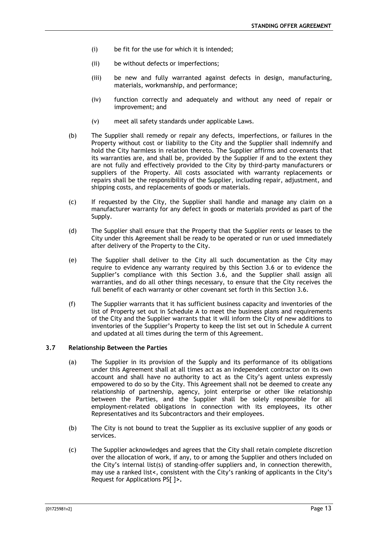- (i) be fit for the use for which it is intended;
- (ii) be without defects or imperfections;
- (iii) be new and fully warranted against defects in design, manufacturing, materials, workmanship, and performance;
- (iv) function correctly and adequately and without any need of repair or improvement; and
- (v) meet all safety standards under applicable Laws.
- (b) The Supplier shall remedy or repair any defects, imperfections, or failures in the Property without cost or liability to the City and the Supplier shall indemnify and hold the City harmless in relation thereto. The Supplier affirms and covenants that its warranties are, and shall be, provided by the Supplier if and to the extent they are not fully and effectively provided to the City by third-party manufacturers or suppliers of the Property. All costs associated with warranty replacements or repairs shall be the responsibility of the Supplier, including repair, adjustment, and shipping costs, and replacements of goods or materials.
- (c) If requested by the City, the Supplier shall handle and manage any claim on a manufacturer warranty for any defect in goods or materials provided as part of the Supply.
- (d) The Supplier shall ensure that the Property that the Supplier rents or leases to the City under this Agreement shall be ready to be operated or run or used immediately after delivery of the Property to the City.
- (e) The Supplier shall deliver to the City all such documentation as the City may require to evidence any warranty required by this Section [3.6](#page-12-3) or to evidence the Supplier's compliance with this Section [3.6,](#page-12-3) and the Supplier shall assign all warranties, and do all other things necessary, to ensure that the City receives the full benefit of each warranty or other covenant set forth in this Section [3.6.](#page-12-3)
- (f) The Supplier warrants that it has sufficient business capacity and inventories of the list of Property set out in Schedule A to meet the business plans and requirements of the City and the Supplier warrants that it will inform the City of new additions to inventories of the Supplier's Property to keep the list set out in Schedule A current and updated at all times during the term of this Agreement.

## <span id="page-13-0"></span>**3.7 Relationship Between the Parties**

- (a) The Supplier in its provision of the Supply and its performance of its obligations under this Agreement shall at all times act as an independent contractor on its own account and shall have no authority to act as the City's agent unless expressly empowered to do so by the City. This Agreement shall not be deemed to create any relationship of partnership, agency, joint enterprise or other like relationship between the Parties, and the Supplier shall be solely responsible for all employment-related obligations in connection with its employees, its other Representatives and its Subcontractors and their employees.
- (b) The City is not bound to treat the Supplier as its exclusive supplier of any goods or services.
- (c) The Supplier acknowledges and agrees that the City shall retain complete discretion over the allocation of work, if any, to or among the Supplier and others included on the City's internal list(s) of standing-offer suppliers and, in connection therewith, may use a ranked list**<**, consistent with the City's ranking of applicants in the City's Request for Applications PS[ ]**>.**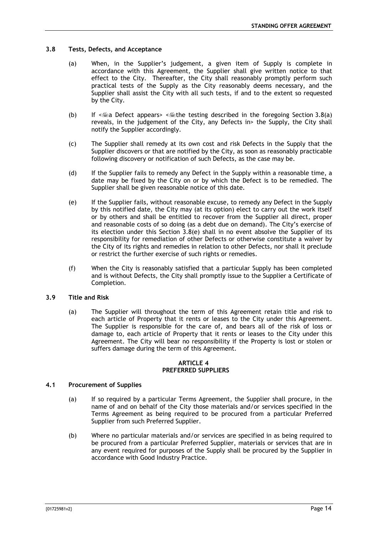## <span id="page-14-4"></span><span id="page-14-0"></span>**3.8 Tests, Defects, and Acceptance**

- (a) When, in the Supplier's judgement, a given item of Supply is complete in accordance with this Agreement, the Supplier shall give written notice to that effect to the City. Thereafter, the City shall reasonably promptly perform such practical tests of the Supply as the City reasonably deems necessary, and the Supplier shall assist the City with all such tests, if and to the extent so requested by the City.
- (b) If  $\leq$  Defect appears>  $\leq$  the testing described in the foregoing Section [3.8\(a\)](#page-14-4) reveals, in the judgement of the City, any Defects in> the Supply, the City shall notify the Supplier accordingly.
- (c) The Supplier shall remedy at its own cost and risk Defects in the Supply that the Supplier discovers or that are notified by the City, as soon as reasonably practicable following discovery or notification of such Defects, as the case may be.
- (d) If the Supplier fails to remedy any Defect in the Supply within a reasonable time, a date may be fixed by the City on or by which the Defect is to be remedied. The Supplier shall be given reasonable notice of this date.
- <span id="page-14-5"></span>(e) If the Supplier fails, without reasonable excuse, to remedy any Defect in the Supply by this notified date, the City may (at its option) elect to carry out the work itself or by others and shall be entitled to recover from the Supplier all direct, proper and reasonable costs of so doing (as a debt due on demand). The City's exercise of its election under this Section [3.8\(e\)](#page-14-5) shall in no event absolve the Supplier of its responsibility for remediation of other Defects or otherwise constitute a waiver by the City of its rights and remedies in relation to other Defects, nor shall it preclude or restrict the further exercise of such rights or remedies.
- (f) When the City is reasonably satisfied that a particular Supply has been completed and is without Defects, the City shall promptly issue to the Supplier a Certificate of Completion.

## <span id="page-14-1"></span>**3.9 Title and Risk**

(a) The Supplier will throughout the term of this Agreement retain title and risk to each article of Property that it rents or leases to the City under this Agreement. The Supplier is responsible for the care of, and bears all of the risk of loss or damage to, each article of Property that it rents or leases to the City under this Agreement. The City will bear no responsibility if the Property is lost or stolen or suffers damage during the term of this Agreement.

#### **ARTICLE 4 PREFERRED SUPPLIERS**

#### <span id="page-14-6"></span><span id="page-14-3"></span><span id="page-14-2"></span>**4.1 Procurement of Supplies**

- (a) If so required by a particular Terms Agreement, the Supplier shall procure, in the name of and on behalf of the City those materials and/or services specified in the Terms Agreement as being required to be procured from a particular Preferred Supplier from such Preferred Supplier.
- <span id="page-14-7"></span>(b) Where no particular materials and/or services are specified in as being required to be procured from a particular Preferred Supplier, materials or services that are in any event required for purposes of the Supply shall be procured by the Supplier in accordance with Good Industry Practice.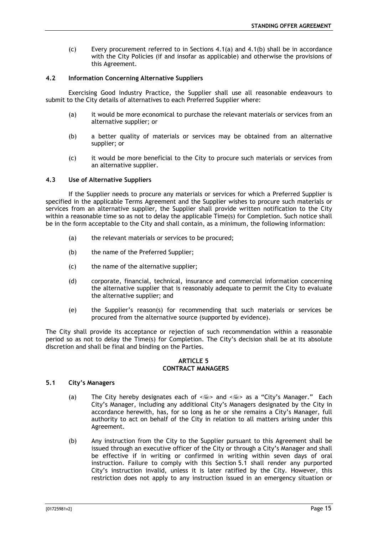(c) Every procurement referred to in Sections [4.1\(a\)](#page-14-6) and [4.1\(b\)](#page-14-7) shall be in accordance with the City Policies (if and insofar as applicable) and otherwise the provisions of this Agreement.

## <span id="page-15-0"></span>**4.2 Information Concerning Alternative Suppliers**

Exercising Good Industry Practice, the Supplier shall use all reasonable endeavours to submit to the City details of alternatives to each Preferred Supplier where:

- (a) it would be more economical to purchase the relevant materials or services from an alternative supplier; or
- (b) a better quality of materials or services may be obtained from an alternative supplier; or
- (c) it would be more beneficial to the City to procure such materials or services from an alternative supplier.

#### <span id="page-15-1"></span>**4.3 Use of Alternative Suppliers**

If the Supplier needs to procure any materials or services for which a Preferred Supplier is specified in the applicable Terms Agreement and the Supplier wishes to procure such materials or services from an alternative supplier, the Supplier shall provide written notification to the City within a reasonable time so as not to delay the applicable Time(s) for Completion. Such notice shall be in the form acceptable to the City and shall contain, as a minimum, the following information:

- (a) the relevant materials or services to be procured;
- (b) the name of the Preferred Supplier;
- (c) the name of the alternative supplier;
- (d) corporate, financial, technical, insurance and commercial information concerning the alternative supplier that is reasonably adequate to permit the City to evaluate the alternative supplier; and
- (e) the Supplier's reason(s) for recommending that such materials or services be procured from the alternative source (supported by evidence).

The City shall provide its acceptance or rejection of such recommendation within a reasonable period so as not to delay the Time(s) for Completion. The City's decision shall be at its absolute discretion and shall be final and binding on the Parties.

#### **ARTICLE 5 CONTRACT MANAGERS**

## <span id="page-15-3"></span><span id="page-15-2"></span>**5.1 City's Managers**

- (a) The City hereby designates each of  $\leq$  and  $\leq$  as a "City's Manager." Each City's Manager, including any additional City's Managers designated by the City in accordance herewith, has, for so long as he or she remains a City's Manager, full authority to act on behalf of the City in relation to all matters arising under this Agreement.
- (b) Any instruction from the City to the Supplier pursuant to this Agreement shall be issued through an executive officer of the City or through a City's Manager and shall be effective if in writing or confirmed in writing within seven days of oral instruction. Failure to comply with this Section [5.1](#page-15-3) shall render any purported City's instruction invalid, unless it is later ratified by the City. However, this restriction does not apply to any instruction issued in an emergency situation or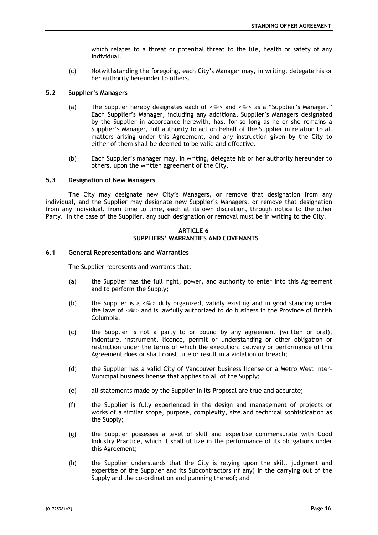which relates to a threat or potential threat to the life, health or safety of any individual.

(c) Notwithstanding the foregoing, each City's Manager may, in writing, delegate his or her authority hereunder to others.

## <span id="page-16-0"></span>**5.2 Supplier's Managers**

- (a) The Supplier hereby designates each of  $\leq m$  and  $\leq m$  as a "Supplier's Manager." Each Supplier's Manager, including any additional Supplier's Managers designated by the Supplier in accordance herewith, has, for so long as he or she remains a Supplier's Manager, full authority to act on behalf of the Supplier in relation to all matters arising under this Agreement, and any instruction given by the City to either of them shall be deemed to be valid and effective.
- (b) Each Supplier's manager may, in writing, delegate his or her authority hereunder to others, upon the written agreement of the City.

#### <span id="page-16-1"></span>**5.3 Designation of New Managers**

The City may designate new City's Managers, or remove that designation from any individual, and the Supplier may designate new Supplier's Managers, or remove that designation from any individual, from time to time, each at its own discretion, through notice to the other Party. In the case of the Supplier, any such designation or removal must be in writing to the City.

#### **ARTICLE 6 SUPPLIERS' WARRANTIES AND COVENANTS**

#### <span id="page-16-3"></span><span id="page-16-2"></span>**6.1 General Representations and Warranties**

The Supplier represents and warrants that:

- (a) the Supplier has the full right, power, and authority to enter into this Agreement and to perform the Supply;
- (b) the Supplier is a  $\leq$   $\leq$  > duly organized, validly existing and in good standing under the laws of  $\leq$  and is lawfully authorized to do business in the Province of British Columbia;
- (c) the Supplier is not a party to or bound by any agreement (written or oral), indenture, instrument, licence, permit or understanding or other obligation or restriction under the terms of which the execution, delivery or performance of this Agreement does or shall constitute or result in a violation or breach;
- (d) the Supplier has a valid City of Vancouver business license or a Metro West Inter-Municipal business license that applies to all of the Supply;
- (e) all statements made by the Supplier in its Proposal are true and accurate;
- (f) the Supplier is fully experienced in the design and management of projects or works of a similar scope, purpose, complexity, size and technical sophistication as the Supply;
- (g) the Supplier possesses a level of skill and expertise commensurate with Good Industry Practice, which it shall utilize in the performance of its obligations under this Agreement;
- (h) the Supplier understands that the City is relying upon the skill, judgment and expertise of the Supplier and its Subcontractors (if any) in the carrying out of the Supply and the co-ordination and planning thereof; and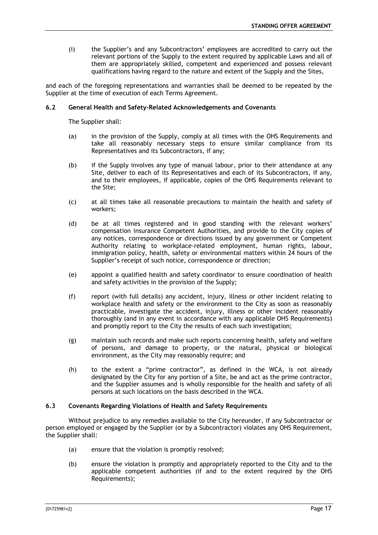(i) the Supplier's and any Subcontractors' employees are accredited to carry out the relevant portions of the Supply to the extent required by applicable Laws and all of them are appropriately skilled, competent and experienced and possess relevant qualifications having regard to the nature and extent of the Supply and the Sites,

and each of the foregoing representations and warranties shall be deemed to be repeated by the Supplier at the time of execution of each Terms Agreement.

## <span id="page-17-0"></span>**6.2 General Health and Safety-Related Acknowledgements and Covenants**

The Supplier shall:

- (a) in the provision of the Supply, comply at all times with the OHS Requirements and take all reasonably necessary steps to ensure similar compliance from its Representatives and its Subcontractors, if any;
- (b) if the Supply involves any type of manual labour, prior to their attendance at any Site, deliver to each of its Representatives and each of its Subcontractors, if any, and to their employees, if applicable, copies of the OHS Requirements relevant to the Site;
- (c) at all times take all reasonable precautions to maintain the health and safety of workers;
- (d) be at all times registered and in good standing with the relevant workers' compensation insurance Competent Authorities, and provide to the City copies of any notices, correspondence or directions issued by any government or Competent Authority relating to workplace-related employment, human rights, labour, immigration policy, health, safety or environmental matters within 24 hours of the Supplier's receipt of such notice, correspondence or direction;
- (e) appoint a qualified health and safety coordinator to ensure coordination of health and safety activities in the provision of the Supply;
- (f) report (with full details) any accident, injury, illness or other incident relating to workplace health and safety or the environment to the City as soon as reasonably practicable, investigate the accident, injury, illness or other incident reasonably thoroughly (and in any event in accordance with any applicable OHS Requirements) and promptly report to the City the results of each such investigation;
- (g) maintain such records and make such reports concerning health, safety and welfare of persons, and damage to property, or the natural, physical or biological environment, as the City may reasonably require; and
- (h) to the extent a "prime contractor", as defined in the WCA, is not already designated by the City for any portion of a Site, be and act as the prime contractor, and the Supplier assumes and is wholly responsible for the health and safety of all persons at such locations on the basis described in the WCA.

## <span id="page-17-1"></span>**6.3 Covenants Regarding Violations of Health and Safety Requirements**

Without prejudice to any remedies available to the City hereunder, if any Subcontractor or person employed or engaged by the Supplier (or by a Subcontractor) violates any OHS Requirement, the Supplier shall:

- (a) ensure that the violation is promptly resolved;
- (b) ensure the violation is promptly and appropriately reported to the City and to the applicable competent authorities (if and to the extent required by the OHS Requirements);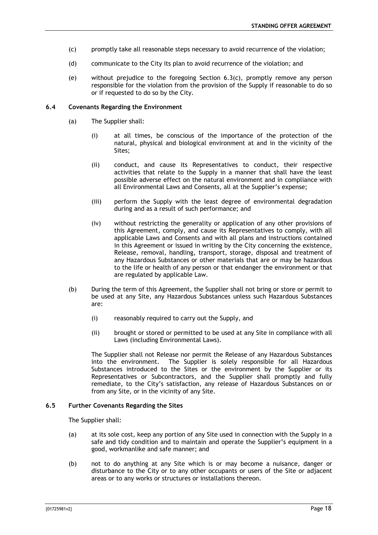- <span id="page-18-2"></span>(c) promptly take all reasonable steps necessary to avoid recurrence of the violation;
- (d) communicate to the City its plan to avoid recurrence of the violation; and
- (e) without prejudice to the foregoing Section [6.3\(c\),](#page-18-2) promptly remove any person responsible for the violation from the provision of the Supply if reasonable to do so or if requested to do so by the City.

## <span id="page-18-0"></span>**6.4 Covenants Regarding the Environment**

- (a) The Supplier shall:
	- (i) at all times, be conscious of the importance of the protection of the natural, physical and biological environment at and in the vicinity of the Sites;
	- (ii) conduct, and cause its Representatives to conduct, their respective activities that relate to the Supply in a manner that shall have the least possible adverse effect on the natural environment and in compliance with all Environmental Laws and Consents, all at the Supplier's expense;
	- (iii) perform the Supply with the least degree of environmental degradation during and as a result of such performance; and
	- (iv) without restricting the generality or application of any other provisions of this Agreement, comply, and cause its Representatives to comply, with all applicable Laws and Consents and with all plans and instructions contained in this Agreement or issued in writing by the City concerning the existence, Release, removal, handling, transport, storage, disposal and treatment of any Hazardous Substances or other materials that are or may be hazardous to the life or health of any person or that endanger the environment or that are regulated by applicable Law.
- (b) During the term of this Agreement, the Supplier shall not bring or store or permit to be used at any Site, any Hazardous Substances unless such Hazardous Substances are:
	- (i) reasonably required to carry out the Supply, and
	- (ii) brought or stored or permitted to be used at any Site in compliance with all Laws (including Environmental Laws).

The Supplier shall not Release nor permit the Release of any Hazardous Substances into the environment. The Supplier is solely responsible for all Hazardous Substances introduced to the Sites or the environment by the Supplier or its Representatives or Subcontractors, and the Supplier shall promptly and fully remediate, to the City's satisfaction, any release of Hazardous Substances on or from any Site, or in the vicinity of any Site.

#### <span id="page-18-1"></span>**6.5 Further Covenants Regarding the Sites**

The Supplier shall:

- (a) at its sole cost, keep any portion of any Site used in connection with the Supply in a safe and tidy condition and to maintain and operate the Supplier's equipment in a good, workmanlike and safe manner; and
- (b) not to do anything at any Site which is or may become a nuisance, danger or disturbance to the City or to any other occupants or users of the Site or adjacent areas or to any works or structures or installations thereon.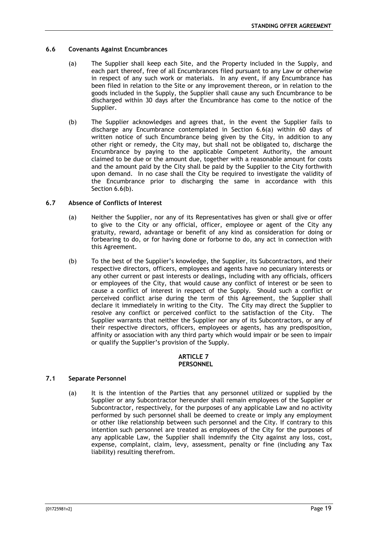## <span id="page-19-4"></span><span id="page-19-0"></span>**6.6 Covenants Against Encumbrances**

- (a) The Supplier shall keep each Site, and the Property included in the Supply, and each part thereof, free of all Encumbrances filed pursuant to any Law or otherwise in respect of any such work or materials. In any event, if any Encumbrance has been filed in relation to the Site or any improvement thereon, or in relation to the goods included in the Supply, the Supplier shall cause any such Encumbrance to be discharged within 30 days after the Encumbrance has come to the notice of the Supplier.
- <span id="page-19-5"></span>(b) The Supplier acknowledges and agrees that, in the event the Supplier fails to discharge any Encumbrance contemplated in Section [6.6\(a\)](#page-19-4) within 60 days of written notice of such Encumbrance being given by the City, in addition to any other right or remedy, the City may, but shall not be obligated to, discharge the Encumbrance by paying to the applicable Competent Authority, the amount claimed to be due or the amount due, together with a reasonable amount for costs and the amount paid by the City shall be paid by the Supplier to the City forthwith upon demand. In no case shall the City be required to investigate the validity of the Encumbrance prior to discharging the same in accordance with this Section [6.6\(b\).](#page-19-5)

## <span id="page-19-1"></span>**6.7 Absence of Conflicts of Interest**

- (a) Neither the Supplier, nor any of its Representatives has given or shall give or offer to give to the City or any official, officer, employee or agent of the City any gratuity, reward, advantage or benefit of any kind as consideration for doing or forbearing to do, or for having done or forborne to do, any act in connection with this Agreement.
- (b) To the best of the Supplier's knowledge, the Supplier, its Subcontractors, and their respective directors, officers, employees and agents have no pecuniary interests or any other current or past interests or dealings, including with any officials, officers or employees of the City, that would cause any conflict of interest or be seen to cause a conflict of interest in respect of the Supply. Should such a conflict or perceived conflict arise during the term of this Agreement, the Supplier shall declare it immediately in writing to the City. The City may direct the Supplier to resolve any conflict or perceived conflict to the satisfaction of the City. The Supplier warrants that neither the Supplier nor any of its Subcontractors, or any of their respective directors, officers, employees or agents, has any predisposition, affinity or association with any third party which would impair or be seen to impair or qualify the Supplier's provision of the Supply.

#### **ARTICLE 7 PERSONNEL**

## <span id="page-19-3"></span><span id="page-19-2"></span>**7.1 Separate Personnel**

(a) It is the intention of the Parties that any personnel utilized or supplied by the Supplier or any Subcontractor hereunder shall remain employees of the Supplier or Subcontractor, respectively, for the purposes of any applicable Law and no activity performed by such personnel shall be deemed to create or imply any employment or other like relationship between such personnel and the City. If contrary to this intention such personnel are treated as employees of the City for the purposes of any applicable Law, the Supplier shall indemnify the City against any loss, cost, expense, complaint, claim, levy, assessment, penalty or fine (including any Tax liability) resulting therefrom.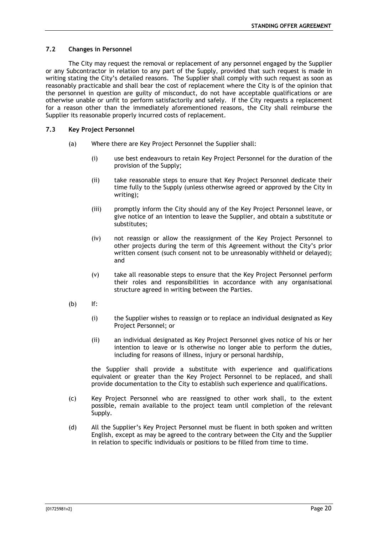## <span id="page-20-0"></span>**7.2 Changes in Personnel**

The City may request the removal or replacement of any personnel engaged by the Supplier or any Subcontractor in relation to any part of the Supply, provided that such request is made in writing stating the City's detailed reasons. The Supplier shall comply with such request as soon as reasonably practicable and shall bear the cost of replacement where the City is of the opinion that the personnel in question are guilty of misconduct, do not have acceptable qualifications or are otherwise unable or unfit to perform satisfactorily and safely. If the City requests a replacement for a reason other than the immediately aforementioned reasons, the City shall reimburse the Supplier its reasonable properly incurred costs of replacement.

#### <span id="page-20-1"></span>**7.3 Key Project Personnel**

- (a) Where there are Key Project Personnel the Supplier shall:
	- (i) use best endeavours to retain Key Project Personnel for the duration of the provision of the Supply;
	- (ii) take reasonable steps to ensure that Key Project Personnel dedicate their time fully to the Supply (unless otherwise agreed or approved by the City in writing);
	- (iii) promptly inform the City should any of the Key Project Personnel leave, or give notice of an intention to leave the Supplier, and obtain a substitute or substitutes;
	- (iv) not reassign or allow the reassignment of the Key Project Personnel to other projects during the term of this Agreement without the City's prior written consent (such consent not to be unreasonably withheld or delayed); and
	- (v) take all reasonable steps to ensure that the Key Project Personnel perform their roles and responsibilities in accordance with any organisational structure agreed in writing between the Parties.
- (b) If:
	- (i) the Supplier wishes to reassign or to replace an individual designated as Key Project Personnel; or
	- (ii) an individual designated as Key Project Personnel gives notice of his or her intention to leave or is otherwise no longer able to perform the duties, including for reasons of illness, injury or personal hardship,

the Supplier shall provide a substitute with experience and qualifications equivalent or greater than the Key Project Personnel to be replaced, and shall provide documentation to the City to establish such experience and qualifications.

- (c) Key Project Personnel who are reassigned to other work shall, to the extent possible, remain available to the project team until completion of the relevant Supply.
- (d) All the Supplier's Key Project Personnel must be fluent in both spoken and written English, except as may be agreed to the contrary between the City and the Supplier in relation to specific individuals or positions to be filled from time to time.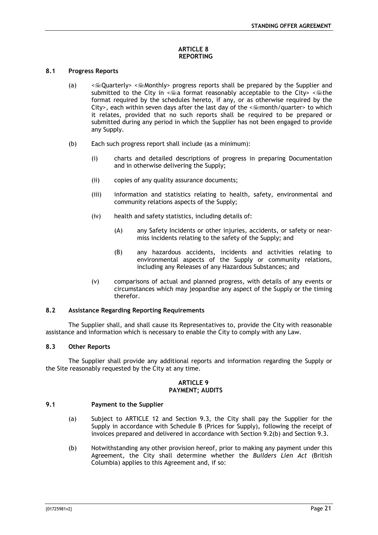## **ARTICLE 8 REPORTING**

#### <span id="page-21-1"></span><span id="page-21-0"></span>**8.1 Progress Reports**

- (a)  $\leq$   $\leq$  Quarterly>  $\leq$  Monthly> progress reports shall be prepared by the Supplier and submitted to the City in  $\leq$  format reasonably acceptable to the City>  $\leq$  fine format required by the schedules hereto, if any, or as otherwise required by the City>, each within seven days after the last day of the < $\equiv$ month/quarter> to which it relates, provided that no such reports shall be required to be prepared or submitted during any period in which the Supplier has not been engaged to provide any Supply.
- (b) Each such progress report shall include (as a minimum):
	- (i) charts and detailed descriptions of progress in preparing Documentation and in otherwise delivering the Supply;
	- (ii) copies of any quality assurance documents;
	- (iii) information and statistics relating to health, safety, environmental and community relations aspects of the Supply;
	- (iv) health and safety statistics, including details of:
		- (A) any Safety Incidents or other injuries, accidents, or safety or nearmiss incidents relating to the safety of the Supply; and
		- (B) any hazardous accidents, incidents and activities relating to environmental aspects of the Supply or community relations, including any Releases of any Hazardous Substances; and
	- (v) comparisons of actual and planned progress, with details of any events or circumstances which may jeopardise any aspect of the Supply or the timing therefor.

## <span id="page-21-2"></span>**8.2 Assistance Regarding Reporting Requirements**

The Supplier shall, and shall cause its Representatives to, provide the City with reasonable assistance and information which is necessary to enable the City to comply with any Law.

## <span id="page-21-3"></span>**8.3 Other Reports**

The Supplier shall provide any additional reports and information regarding the Supply or the Site reasonably requested by the City at any time.

#### **ARTICLE 9 PAYMENT; AUDITS**

#### <span id="page-21-4"></span>**9.1 Payment to the Supplier**

- <span id="page-21-5"></span>(a) Subject to [ARTICLE 12](#page-29-0) and Section [9.3,](#page-23-0) the City shall pay the Supplier for the Supply in accordance with Schedule B (Prices for Supply), following the receipt of invoices prepared and delivered in accordance with Section [9.2\(b\)](#page-22-1) and Section [9.3.](#page-23-0)
- (b) Notwithstanding any other provision hereof, prior to making any payment under this Agreement, the City shall determine whether the *Builders Lien Act* (British Columbia) applies to this Agreement and, if so: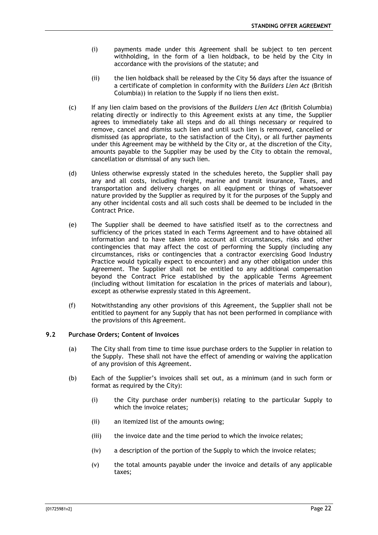- (i) payments made under this Agreement shall be subject to ten percent withholding, in the form of a lien holdback, to be held by the City in accordance with the provisions of the statute; and
- (ii) the lien holdback shall be released by the City 56 days after the issuance of a certificate of completion in conformity with the *Builders Lien Act* (British Columbia)) in relation to the Supply if no liens then exist.
- (c) If any lien claim based on the provisions of the *Builders Lien Act* (British Columbia) relating directly or indirectly to this Agreement exists at any time, the Supplier agrees to immediately take all steps and do all things necessary or required to remove, cancel and dismiss such lien and until such lien is removed, cancelled or dismissed (as appropriate, to the satisfaction of the City), or all further payments under this Agreement may be withheld by the City or, at the discretion of the City, amounts payable to the Supplier may be used by the City to obtain the removal, cancellation or dismissal of any such lien.
- (d) Unless otherwise expressly stated in the schedules hereto, the Supplier shall pay any and all costs, including freight, marine and transit insurance, Taxes, and transportation and delivery charges on all equipment or things of whatsoever nature provided by the Supplier as required by it for the purposes of the Supply and any other incidental costs and all such costs shall be deemed to be included in the Contract Price.
- (e) The Supplier shall be deemed to have satisfied itself as to the correctness and sufficiency of the prices stated in each Terms Agreement and to have obtained all information and to have taken into account all circumstances, risks and other contingencies that may affect the cost of performing the Supply (including any circumstances, risks or contingencies that a contractor exercising Good Industry Practice would typically expect to encounter) and any other obligation under this Agreement. The Supplier shall not be entitled to any additional compensation beyond the Contract Price established by the applicable Terms Agreement (including without limitation for escalation in the prices of materials and labour), except as otherwise expressly stated in this Agreement.
- (f) Notwithstanding any other provisions of this Agreement, the Supplier shall not be entitled to payment for any Supply that has not been performed in compliance with the provisions of this Agreement.

#### <span id="page-22-0"></span>**9.2 Purchase Orders; Content of Invoices**

- (a) The City shall from time to time issue purchase orders to the Supplier in relation to the Supply. These shall not have the effect of amending or waiving the application of any provision of this Agreement.
- <span id="page-22-1"></span>(b) Each of the Supplier's invoices shall set out, as a minimum (and in such form or format as required by the City):
	- (i) the City purchase order number(s) relating to the particular Supply to which the invoice relates;
	- (ii) an itemized list of the amounts owing;
	- (iii) the invoice date and the time period to which the invoice relates;
	- (iv) a description of the portion of the Supply to which the invoice relates;
	- (v) the total amounts payable under the invoice and details of any applicable taxes;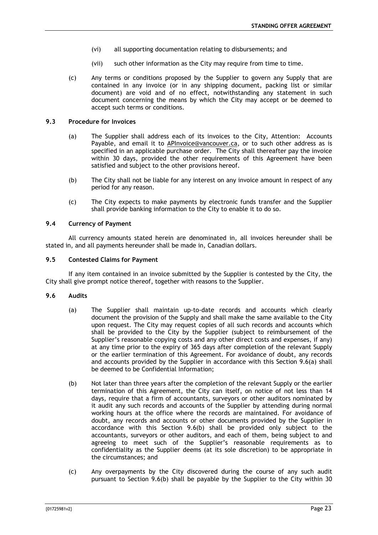- (vi) all supporting documentation relating to disbursements; and
- (vii) such other information as the City may require from time to time.
- (c) Any terms or conditions proposed by the Supplier to govern any Supply that are contained in any invoice (or in any shipping document, packing list or similar document) are void and of no effect, notwithstanding any statement in such document concerning the means by which the City may accept or be deemed to accept such terms or conditions.

## <span id="page-23-0"></span>**9.3 Procedure for Invoices**

- (a) The Supplier shall address each of its invoices to the City, Attention: Accounts Payable, and email it to APInvoice@vancouver.ca, or to such other address as is specified in an applicable purchase order. The City shall thereafter pay the invoice within 30 days, provided the other requirements of this Agreement have been satisfied and subject to the other provisions hereof.
- (b) The City shall not be liable for any interest on any invoice amount in respect of any period for any reason.
- (c) The City expects to make payments by electronic funds transfer and the Supplier shall provide banking information to the City to enable it to do so.

#### <span id="page-23-1"></span>**9.4 Currency of Payment**

All currency amounts stated herein are denominated in, all invoices hereunder shall be stated in, and all payments hereunder shall be made in, Canadian dollars.

#### <span id="page-23-2"></span>**9.5 Contested Claims for Payment**

If any item contained in an invoice submitted by the Supplier is contested by the City, the City shall give prompt notice thereof, together with reasons to the Supplier.

#### <span id="page-23-4"></span><span id="page-23-3"></span>**9.6 Audits**

- (a) The Supplier shall maintain up-to-date records and accounts which clearly document the provision of the Supply and shall make the same available to the City upon request. The City may request copies of all such records and accounts which shall be provided to the City by the Supplier (subject to reimbursement of the Supplier's reasonable copying costs and any other direct costs and expenses, if any) at any time prior to the expiry of 365 days after completion of the relevant Supply or the earlier termination of this Agreement. For avoidance of doubt, any records and accounts provided by the Supplier in accordance with this Section [9.6\(a\)](#page-23-4) shall be deemed to be Confidential Information;
- <span id="page-23-5"></span>(b) Not later than three years after the completion of the relevant Supply or the earlier termination of this Agreement, the City can itself, on notice of not less than 14 days, require that a firm of accountants, surveyors or other auditors nominated by it audit any such records and accounts of the Supplier by attending during normal working hours at the office where the records are maintained. For avoidance of doubt, any records and accounts or other documents provided by the Supplier in accordance with this Section [9.6\(b\)](#page-23-5) shall be provided only subject to the accountants, surveyors or other auditors, and each of them, being subject to and agreeing to meet such of the Supplier's reasonable requirements as to confidentiality as the Supplier deems (at its sole discretion) to be appropriate in the circumstances; and
- (c) Any overpayments by the City discovered during the course of any such audit pursuant to Section [9.6\(b\)](#page-23-5) shall be payable by the Supplier to the City within 30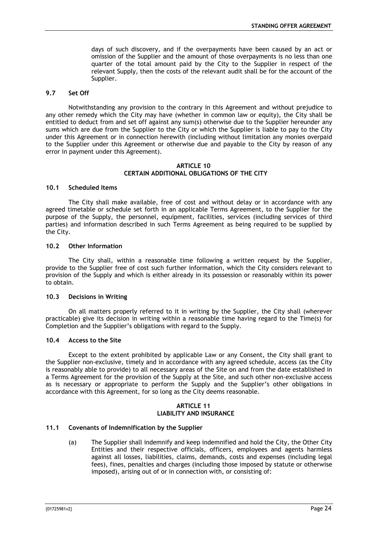days of such discovery, and if the overpayments have been caused by an act or omission of the Supplier and the amount of those overpayments is no less than one quarter of the total amount paid by the City to the Supplier in respect of the relevant Supply, then the costs of the relevant audit shall be for the account of the Supplier.

#### <span id="page-24-0"></span>**9.7 Set Off**

Notwithstanding any provision to the contrary in this Agreement and without prejudice to any other remedy which the City may have (whether in common law or equity), the City shall be entitled to deduct from and set off against any sum(s) otherwise due to the Supplier hereunder any sums which are due from the Supplier to the City or which the Supplier is liable to pay to the City under this Agreement or in connection herewith (including without limitation any monies overpaid to the Supplier under this Agreement or otherwise due and payable to the City by reason of any error in payment under this Agreement).

#### **ARTICLE 10 CERTAIN ADDITIONAL OBLIGATIONS OF THE CITY**

#### <span id="page-24-2"></span><span id="page-24-1"></span>**10.1 Scheduled Items**

The City shall make available, free of cost and without delay or in accordance with any agreed timetable or schedule set forth in an applicable Terms Agreement, to the Supplier for the purpose of the Supply, the personnel, equipment, facilities, services (including services of third parties) and information described in such Terms Agreement as being required to be supplied by the City.

#### <span id="page-24-3"></span>**10.2 Other Information**

The City shall, within a reasonable time following a written request by the Supplier, provide to the Supplier free of cost such further information, which the City considers relevant to provision of the Supply and which is either already in its possession or reasonably within its power to obtain.

## <span id="page-24-4"></span>**10.3 Decisions in Writing**

On all matters properly referred to it in writing by the Supplier, the City shall (wherever practicable) give its decision in writing within a reasonable time having regard to the Time(s) for Completion and the Supplier's obligations with regard to the Supply.

#### <span id="page-24-5"></span>**10.4 Access to the Site**

Except to the extent prohibited by applicable Law or any Consent, the City shall grant to the Supplier non-exclusive, timely and in accordance with any agreed schedule, access (as the City is reasonably able to provide) to all necessary areas of the Site on and from the date established in a Terms Agreement for the provision of the Supply at the Site, and such other non-exclusive access as is necessary or appropriate to perform the Supply and the Supplier's other obligations in accordance with this Agreement, for so long as the City deems reasonable.

#### **ARTICLE 11 LIABILITY AND INSURANCE**

#### <span id="page-24-7"></span><span id="page-24-6"></span>**11.1 Covenants of Indemnification by the Supplier**

(a) The Supplier shall indemnify and keep indemnified and hold the City, the Other City Entities and their respective officials, officers, employees and agents harmless against all losses, liabilities, claims, demands, costs and expenses (including legal fees), fines, penalties and charges (including those imposed by statute or otherwise imposed), arising out of or in connection with, or consisting of: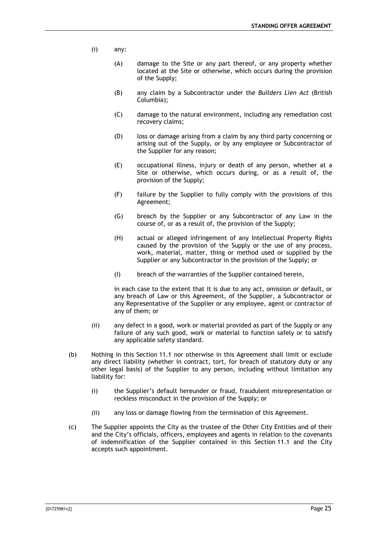- (i) any:
	- (A) damage to the Site or any part thereof, or any property whether located at the Site or otherwise, which occurs during the provision of the Supply;
	- (B) any claim by a Subcontractor under the *Builders Lien Act* (British Columbia);
	- (C) damage to the natural environment, including any remediation cost recovery claims;
	- (D) loss or damage arising from a claim by any third party concerning or arising out of the Supply, or by any employee or Subcontractor of the Supplier for any reason;
	- (E) occupational illness, injury or death of any person, whether at a Site or otherwise, which occurs during, or as a result of, the provision of the Supply;
	- (F) failure by the Supplier to fully comply with the provisions of this Agreement;
	- (G) breach by the Supplier or any Subcontractor of any Law in the course of, or as a result of, the provision of the Supply;
	- (H) actual or alleged infringement of any Intellectual Property Rights caused by the provision of the Supply or the use of any process, work, material, matter, thing or method used or supplied by the Supplier or any Subcontractor in the provision of the Supply; or
	- (I) breach of the warranties of the Supplier contained herein,

in each case to the extent that it is due to any act, omission or default, or any breach of Law or this Agreement, of the Supplier, a Subcontractor or any Representative of the Supplier or any employee, agent or contractor of any of them; or

- (ii) any defect in a good, work or material provided as part of the Supply or any failure of any such good, work or material to function safely or to satisfy any applicable safety standard.
- (b) Nothing in this Section [11.1](#page-24-7) nor otherwise in this Agreement shall limit or exclude any direct liability (whether in contract, tort, for breach of statutory duty or any other legal basis) of the Supplier to any person, including without limitation any liability for:
	- (i) the Supplier's default hereunder or fraud, fraudulent misrepresentation or reckless misconduct in the provision of the Supply; or
	- (ii) any loss or damage flowing from the termination of this Agreement.
- (c) The Supplier appoints the City as the trustee of the Other City Entities and of their and the City's officials, officers, employees and agents in relation to the covenants of indemnification of the Supplier contained in this Section [11.1](#page-24-7) and the City accepts such appointment.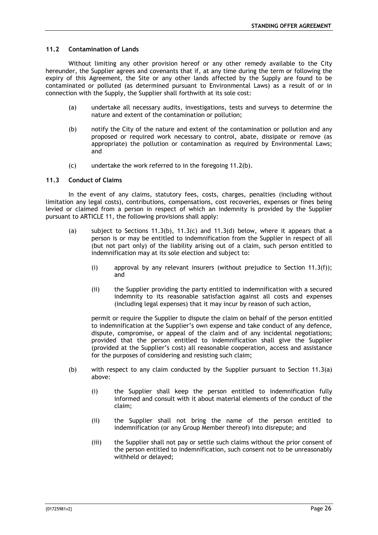## <span id="page-26-0"></span>**11.2 Contamination of Lands**

Without limiting any other provision hereof or any other remedy available to the City hereunder, the Supplier agrees and covenants that if, at any time during the term or following the expiry of this Agreement, the Site or any other lands affected by the Supply are found to be contaminated or polluted (as determined pursuant to Environmental Laws) as a result of or in connection with the Supply, the Supplier shall forthwith at its sole cost:

- (a) undertake all necessary audits, investigations, tests and surveys to determine the nature and extent of the contamination or pollution;
- <span id="page-26-2"></span>(b) notify the City of the nature and extent of the contamination or pollution and any proposed or required work necessary to control, abate, dissipate or remove (as appropriate) the pollution or contamination as required by Environmental Laws; and
- (c) undertake the work referred to in the foregoing [11.2\(b\).](#page-26-2)

#### <span id="page-26-1"></span>**11.3 Conduct of Claims**

In the event of any claims, statutory fees, costs, charges, penalties (including without limitation any legal costs), contributions, compensations, cost recoveries, expenses or fines being levied or claimed from a person in respect of which an indemnity is provided by the Supplier pursuant to [ARTICLE 11,](#page-24-6) the following provisions shall apply:

- <span id="page-26-4"></span>(a) subject to Sections [11.3\(b\),](#page-26-3) [11.3\(c\)](#page-27-1) and [11.3\(d\)](#page-27-2) below, where it appears that a person is or may be entitled to indemnification from the Supplier in respect of all (but not part only) of the liability arising out of a claim, such person entitled to indemnification may at its sole election and subject to:
	- (i) approval by any relevant insurers (without prejudice to Section [11.3\(f\)\)](#page-27-3); and
	- (ii) the Supplier providing the party entitled to indemnification with a secured indemnity to its reasonable satisfaction against all costs and expenses (including legal expenses) that it may incur by reason of such action,

permit or require the Supplier to dispute the claim on behalf of the person entitled to indemnification at the Supplier's own expense and take conduct of any defence, dispute, compromise, or appeal of the claim and of any incidental negotiations; provided that the person entitled to indemnification shall give the Supplier (provided at the Supplier's cost) all reasonable cooperation, access and assistance for the purposes of considering and resisting such claim;

- <span id="page-26-3"></span>(b) with respect to any claim conducted by the Supplier pursuant to Section [11.3\(a\)](#page-26-4) above:
	- (i) the Supplier shall keep the person entitled to indemnification fully informed and consult with it about material elements of the conduct of the claim;
	- (ii) the Supplier shall not bring the name of the person entitled to indemnification (or any Group Member thereof) into disrepute; and
	- (iii) the Supplier shall not pay or settle such claims without the prior consent of the person entitled to indemnification, such consent not to be unreasonably withheld or delayed;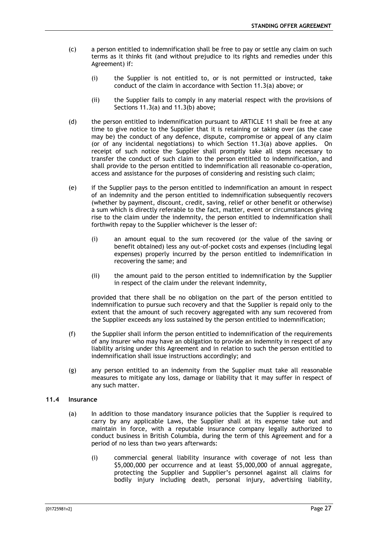- <span id="page-27-1"></span>(c) a person entitled to indemnification shall be free to pay or settle any claim on such terms as it thinks fit (and without prejudice to its rights and remedies under this Agreement) if:
	- (i) the Supplier is not entitled to, or is not permitted or instructed, take conduct of the claim in accordance with Section [11.3\(a\)](#page-26-4) above; or
	- (ii) the Supplier fails to comply in any material respect with the provisions of Sections [11.3\(a\)](#page-26-4) and [11.3\(b\)](#page-26-3) above;
- <span id="page-27-2"></span>(d) the person entitled to indemnification pursuant to [ARTICLE 11](#page-24-6) shall be free at any time to give notice to the Supplier that it is retaining or taking over (as the case may be) the conduct of any defence, dispute, compromise or appeal of any claim (or of any incidental negotiations) to which Section [11.3\(a\)](#page-26-4) above applies. On receipt of such notice the Supplier shall promptly take all steps necessary to transfer the conduct of such claim to the person entitled to indemnification, and shall provide to the person entitled to indemnification all reasonable co-operation, access and assistance for the purposes of considering and resisting such claim;
- (e) if the Supplier pays to the person entitled to indemnification an amount in respect of an indemnity and the person entitled to indemnification subsequently recovers (whether by payment, discount, credit, saving, relief or other benefit or otherwise) a sum which is directly referable to the fact, matter, event or circumstances giving rise to the claim under the indemnity, the person entitled to indemnification shall forthwith repay to the Supplier whichever is the lesser of:
	- (i) an amount equal to the sum recovered (or the value of the saving or benefit obtained) less any out-of-pocket costs and expenses (including legal expenses) properly incurred by the person entitled to indemnification in recovering the same; and
	- (ii) the amount paid to the person entitled to indemnification by the Supplier in respect of the claim under the relevant indemnity,

provided that there shall be no obligation on the part of the person entitled to indemnification to pursue such recovery and that the Supplier is repaid only to the extent that the amount of such recovery aggregated with any sum recovered from the Supplier exceeds any loss sustained by the person entitled to indemnification;

- <span id="page-27-3"></span>(f) the Supplier shall inform the person entitled to indemnification of the requirements of any insurer who may have an obligation to provide an indemnity in respect of any liability arising under this Agreement and in relation to such the person entitled to indemnification shall issue instructions accordingly; and
- (g) any person entitled to an indemnity from the Supplier must take all reasonable measures to mitigate any loss, damage or liability that it may suffer in respect of any such matter.

## <span id="page-27-0"></span>**11.4 Insurance**

- (a) In addition to those mandatory insurance policies that the Supplier is required to carry by any applicable Laws, the Supplier shall at its expense take out and maintain in force, with a reputable insurance company legally authorized to conduct business in British Columbia, during the term of this Agreement and for a period of no less than two years afterwards:
	- (i) commercial general liability insurance with coverage of not less than \$5,000,000 per occurrence and at least \$5,000,000 of annual aggregate, protecting the Supplier and Supplier's personnel against all claims for bodily injury including death, personal injury, advertising liability,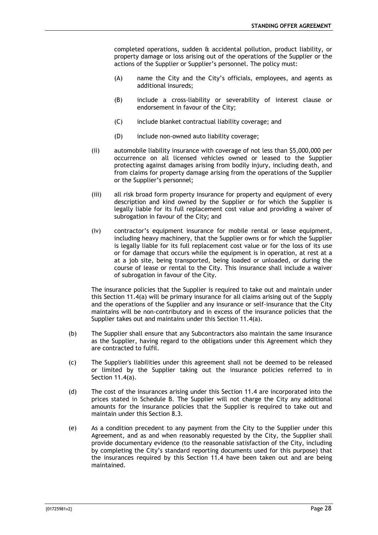completed operations, sudden & accidental pollution, product liability, or property damage or loss arising out of the operations of the Supplier or the actions of the Supplier or Supplier's personnel. The policy must:

- (A) name the City and the City's officials, employees, and agents as additional insureds;
- (B) include a cross-liability or severability of interest clause or endorsement in favour of the City;
- (C) include blanket contractual liability coverage; and
- (D) include non-owned auto liability coverage;
- (ii) automobile liability insurance with coverage of not less than \$5,000,000 per occurrence on all licensed vehicles owned or leased to the Supplier protecting against damages arising from bodily injury, including death, and from claims for property damage arising from the operations of the Supplier or the Supplier's personnel;
- (iii) all risk broad form property insurance for property and equipment of every description and kind owned by the Supplier or for which the Supplier is legally liable for its full replacement cost value and providing a waiver of subrogation in favour of the City; and
- (iv) contractor's equipment insurance for mobile rental or lease equipment, including heavy machinery, that the Supplier owns or for which the Supplier is legally liable for its full replacement cost value or for the loss of its use or for damage that occurs while the equipment is in operation, at rest at a at a job site, being transported, being loaded or unloaded, or during the course of lease or rental to the City. This insurance shall include a waiver of subrogation in favour of the City.

The insurance policies that the Supplier is required to take out and maintain under this Section 11.4(a) will be primary insurance for all claims arising out of the Supply and the operations of the Supplier and any insurance or self-insurance that the City maintains will be non-contributory and in excess of the insurance policies that the Supplier takes out and maintains under this Section 11.4(a).

- (b) The Supplier shall ensure that any Subcontractors also maintain the same insurance as the Supplier, having regard to the obligations under this Agreement which they are contracted to fulfil.
- (c) The Supplier's liabilities under this agreement shall not be deemed to be released or limited by the Supplier taking out the insurance policies referred to in Section 11.4(a).
- (d) The cost of the insurances arising under this Section [11.4](#page-27-0) are incorporated into the prices stated in Schedule B. The Supplier will not charge the City any additional amounts for the insurance policies that the Supplier is required to take out and maintain under this Section 8.3.
- (e) As a condition precedent to any payment from the City to the Supplier under this Agreement, and as and when reasonably requested by the City, the Supplier shall provide documentary evidence (to the reasonable satisfaction of the City, including by completing the City's standard reporting documents used for this purpose) that the insurances required by this Section [11.4](#page-27-0) have been taken out and are being maintained.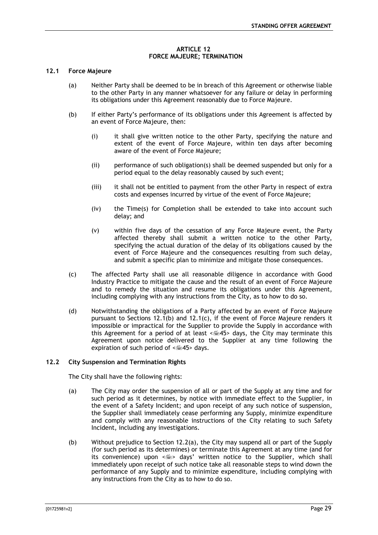#### **ARTICLE 12 FORCE MAJEURE; TERMINATION**

#### <span id="page-29-1"></span><span id="page-29-0"></span>**12.1 Force Majeure**

- (a) Neither Party shall be deemed to be in breach of this Agreement or otherwise liable to the other Party in any manner whatsoever for any failure or delay in performing its obligations under this Agreement reasonably due to Force Majeure.
- <span id="page-29-3"></span>(b) If either Party's performance of its obligations under this Agreement is affected by an event of Force Majeure, then:
	- (i) it shall give written notice to the other Party, specifying the nature and extent of the event of Force Majeure, within ten days after becoming aware of the event of Force Majeure;
	- (ii) performance of such obligation(s) shall be deemed suspended but only for a period equal to the delay reasonably caused by such event;
	- (iii) it shall not be entitled to payment from the other Party in respect of extra costs and expenses incurred by virtue of the event of Force Majeure;
	- (iv) the Time(s) for Completion shall be extended to take into account such delay; and
	- (v) within five days of the cessation of any Force Majeure event, the Party affected thereby shall submit a written notice to the other Party, specifying the actual duration of the delay of its obligations caused by the event of Force Majeure and the consequences resulting from such delay, and submit a specific plan to minimize and mitigate those consequences.
- <span id="page-29-4"></span>(c) The affected Party shall use all reasonable diligence in accordance with Good Industry Practice to mitigate the cause and the result of an event of Force Majeure and to remedy the situation and resume its obligations under this Agreement, including complying with any instructions from the City, as to how to do so.
- (d) Notwithstanding the obligations of a Party affected by an event of Force Majeure pursuant to Sections [12.1\(b\)](#page-29-3) and [12.1\(c\),](#page-29-4) if the event of Force Majeure renders it impossible or impractical for the Supplier to provide the Supply in accordance with this Agreement for a period of at least  $\leq 45$  days, the City may terminate this Agreement upon notice delivered to the Supplier at any time following the expiration of such period of  $\leq 45$  days.

#### <span id="page-29-5"></span><span id="page-29-2"></span>**12.2 City Suspension and Termination Rights**

The City shall have the following rights:

- (a) The City may order the suspension of all or part of the Supply at any time and for such period as it determines, by notice with immediate effect to the Supplier, in the event of a Safety Incident; and upon receipt of any such notice of suspension, the Supplier shall immediately cease performing any Supply, minimize expenditure and comply with any reasonable instructions of the City relating to such Safety Incident, including any investigations.
- (b) Without prejudice to Section [12.2\(a\),](#page-29-5) the City may suspend all or part of the Supply (for such period as its determines) or terminate this Agreement at any time (and for its convenience) upon  $\leq$   $\leq$  days' written notice to the Supplier, which shall immediately upon receipt of such notice take all reasonable steps to wind down the performance of any Supply and to minimize expenditure, including complying with any instructions from the City as to how to do so.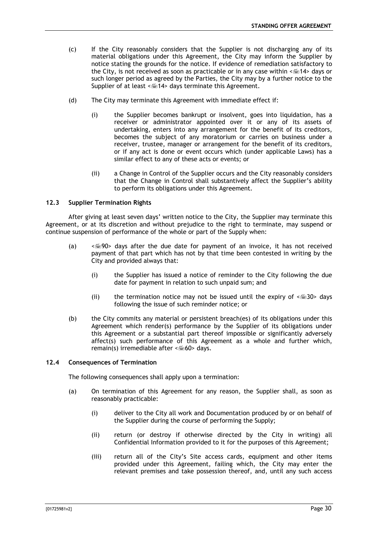- (c) If the City reasonably considers that the Supplier is not discharging any of its material obligations under this Agreement, the City may inform the Supplier by notice stating the grounds for the notice. If evidence of remediation satisfactory to the City, is not received as soon as practicable or in any case within  $\leq 14$  days or such longer period as agreed by the Parties, the City may by a further notice to the Supplier of at least  $\leq 14$  days terminate this Agreement.
- (d) The City may terminate this Agreement with immediate effect if:
	- (i) the Supplier becomes bankrupt or insolvent, goes into liquidation, has a receiver or administrator appointed over it or any of its assets of undertaking, enters into any arrangement for the benefit of its creditors, becomes the subject of any moratorium or carries on business under a receiver, trustee, manager or arrangement for the benefit of its creditors, or if any act is done or event occurs which (under applicable Laws) has a similar effect to any of these acts or events; or
	- (ii) a Change in Control of the Supplier occurs and the City reasonably considers that the Change in Control shall substantively affect the Supplier's ability to perform its obligations under this Agreement.

#### <span id="page-30-0"></span>**12.3 Supplier Termination Rights**

After giving at least seven days' written notice to the City, the Supplier may terminate this Agreement, or at its discretion and without prejudice to the right to terminate, may suspend or continue suspension of performance of the whole or part of the Supply when:

- (a)  $\leq$   $\leq$  90> days after the due date for payment of an invoice, it has not received payment of that part which has not by that time been contested in writing by the City and provided always that:
	- (i) the Supplier has issued a notice of reminder to the City following the due date for payment in relation to such unpaid sum; and
	- (ii) the termination notice may not be issued until the expiry of  $\leq 30$  days following the issue of such reminder notice; or
- (b) the City commits any material or persistent breach(es) of its obligations under this Agreement which render(s) performance by the Supplier of its obligations under this Agreement or a substantial part thereof impossible or significantly adversely affect(s) such performance of this Agreement as a whole and further which, remain(s) irremediable after  $\leq 60$  days.

#### <span id="page-30-1"></span>**12.4 Consequences of Termination**

The following consequences shall apply upon a termination:

- (a) On termination of this Agreement for any reason, the Supplier shall, as soon as reasonably practicable:
	- (i) deliver to the City all work and Documentation produced by or on behalf of the Supplier during the course of performing the Supply;
	- (ii) return (or destroy if otherwise directed by the City in writing) all Confidential Information provided to it for the purposes of this Agreement;
	- (iii) return all of the City's Site access cards, equipment and other items provided under this Agreement, failing which, the City may enter the relevant premises and take possession thereof, and, until any such access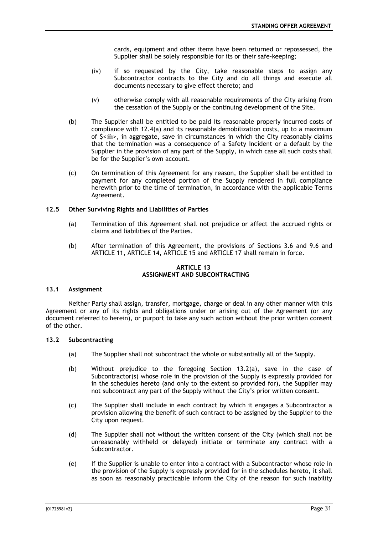cards, equipment and other items have been returned or repossessed, the Supplier shall be solely responsible for its or their safe-keeping;

- (iv) if so requested by the City, take reasonable steps to assign any Subcontractor contracts to the City and do all things and execute all documents necessary to give effect thereto; and
- (v) otherwise comply with all reasonable requirements of the City arising from the cessation of the Supply or the continuing development of the Site.
- (b) The Supplier shall be entitled to be paid its reasonable properly incurred costs of compliance with 12.4(a) and its reasonable demobilization costs, up to a maximum of  $S \leq m$ , in aggregate, save in circumstances in which the City reasonably claims that the termination was a consequence of a Safety Incident or a default by the Supplier in the provision of any part of the Supply, in which case all such costs shall be for the Supplier's own account.
- (c) On termination of this Agreement for any reason, the Supplier shall be entitled to payment for any completed portion of the Supply rendered in full compliance herewith prior to the time of termination, in accordance with the applicable Terms Agreement.

#### <span id="page-31-0"></span>**12.5 Other Surviving Rights and Liabilities of Parties**

- (a) Termination of this Agreement shall not prejudice or affect the accrued rights or claims and liabilities of the Parties.
- (b) After termination of this Agreement, the provisions of Sections [3.6](#page-12-3) and [9.6](#page-23-3) and [ARTICLE 11,](#page-24-6) [ARTICLE 14,](#page-32-0) [ARTICLE 15](#page-34-1) and [ARTICLE 17](#page-36-0) shall remain in force.

## **ARTICLE 13 ASSIGNMENT AND SUBCONTRACTING**

## <span id="page-31-2"></span><span id="page-31-1"></span>**13.1 Assignment**

Neither Party shall assign, transfer, mortgage, charge or deal in any other manner with this Agreement or any of its rights and obligations under or arising out of the Agreement (or any document referred to herein), or purport to take any such action without the prior written consent of the other.

## <span id="page-31-4"></span><span id="page-31-3"></span>**13.2 Subcontracting**

- (a) The Supplier shall not subcontract the whole or substantially all of the Supply.
- (b) Without prejudice to the foregoing Section [13.2\(a\),](#page-31-4) save in the case of Subcontractor(s) whose role in the provision of the Supply is expressly provided for in the schedules hereto (and only to the extent so provided for), the Supplier may not subcontract any part of the Supply without the City's prior written consent.
- (c) The Supplier shall include in each contract by which it engages a Subcontractor a provision allowing the benefit of such contract to be assigned by the Supplier to the City upon request.
- (d) The Supplier shall not without the written consent of the City (which shall not be unreasonably withheld or delayed) initiate or terminate any contract with a Subcontractor.
- (e) If the Supplier is unable to enter into a contract with a Subcontractor whose role in the provision of the Supply is expressly provided for in the schedules hereto, it shall as soon as reasonably practicable inform the City of the reason for such inability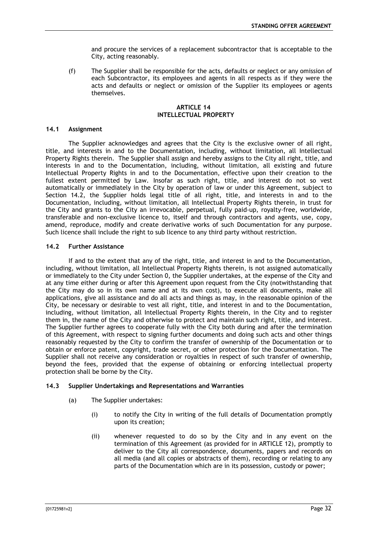and procure the services of a replacement subcontractor that is acceptable to the City, acting reasonably.

(f) The Supplier shall be responsible for the acts, defaults or neglect or any omission of each Subcontractor, its employees and agents in all respects as if they were the acts and defaults or neglect or omission of the Supplier its employees or agents themselves.

## **ARTICLE 14 INTELLECTUAL PROPERTY**

#### <span id="page-32-1"></span><span id="page-32-0"></span>**14.1 Assignment**

The Supplier acknowledges and agrees that the City is the exclusive owner of all right, title, and interests in and to the Documentation, including, without limitation, all Intellectual Property Rights therein. The Supplier shall assign and hereby assigns to the City all right, title, and interests in and to the Documentation, including, without limitation, all existing and future Intellectual Property Rights in and to the Documentation, effective upon their creation to the fullest extent permitted by Law. Insofar as such right, title, and interest do not so vest automatically or immediately in the City by operation of law or under this Agreement, subject to Section [14.2,](#page-32-2) the Supplier holds legal title of all right, title, and interests in and to the Documentation, including, without limitation, all Intellectual Property Rights therein, in trust for the City and grants to the City an irrevocable, perpetual, fully paid-up, royalty-free, worldwide, transferable and non-exclusive licence to, itself and through contractors and agents, use, copy, amend, reproduce, modify and create derivative works of such Documentation for any purpose. Such licence shall include the right to sub licence to any third party without restriction.

## <span id="page-32-2"></span>**14.2 Further Assistance**

If and to the extent that any of the right, title, and interest in and to the Documentation, including, without limitation, all Intellectual Property Rights therein, is not assigned automatically or immediately to the City under Section [0,](#page-32-1) the Supplier undertakes, at the expense of the City and at any time either during or after this Agreement upon request from the City (notwithstanding that the City may do so in its own name and at its own cost), to execute all documents, make all applications, give all assistance and do all acts and things as may, in the reasonable opinion of the City, be necessary or desirable to vest all right, title, and interest in and to the Documentation, including, without limitation, all Intellectual Property Rights therein, in the City and to register them in, the name of the City and otherwise to protect and maintain such right, title, and interest. The Supplier further agrees to cooperate fully with the City both during and after the termination of this Agreement, with respect to signing further documents and doing such acts and other things reasonably requested by the City to confirm the transfer of ownership of the Documentation or to obtain or enforce patent, copyright, trade secret, or other protection for the Documentation. The Supplier shall not receive any consideration or royalties in respect of such transfer of ownership, beyond the fees, provided that the expense of obtaining or enforcing intellectual property protection shall be borne by the City.

#### <span id="page-32-3"></span>**14.3 Supplier Undertakings and Representations and Warranties**

- (a) The Supplier undertakes:
	- (i) to notify the City in writing of the full details of Documentation promptly upon its creation;
	- (ii) whenever requested to do so by the City and in any event on the termination of this Agreement (as provided for in [ARTICLE 12\)](#page-29-0), promptly to deliver to the City all correspondence, documents, papers and records on all media (and all copies or abstracts of them), recording or relating to any parts of the Documentation which are in its possession, custody or power;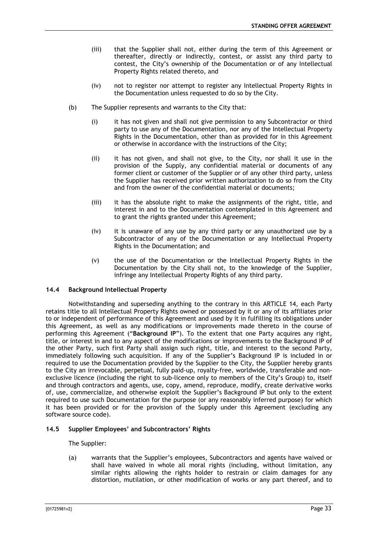- (iii) that the Supplier shall not, either during the term of this Agreement or thereafter, directly or indirectly, contest, or assist any third party to contest, the City's ownership of the Documentation or of any Intellectual Property Rights related thereto, and
- (iv) not to register nor attempt to register any Intellectual Property Rights in the Documentation unless requested to do so by the City.
- (b) The Supplier represents and warrants to the City that:
	- (i) it has not given and shall not give permission to any Subcontractor or third party to use any of the Documentation, nor any of the Intellectual Property Rights in the Documentation, other than as provided for in this Agreement or otherwise in accordance with the instructions of the City;
	- (ii) it has not given, and shall not give, to the City, nor shall it use in the provision of the Supply, any confidential material or documents of any former client or customer of the Supplier or of any other third party, unless the Supplier has received prior written authorization to do so from the City and from the owner of the confidential material or documents;
	- (iii) it has the absolute right to make the assignments of the right, title, and interest in and to the Documentation contemplated in this Agreement and to grant the rights granted under this Agreement;
	- (iv) it is unaware of any use by any third party or any unauthorized use by a Subcontractor of any of the Documentation or any Intellectual Property Rights in the Documentation; and
	- (v) the use of the Documentation or the Intellectual Property Rights in the Documentation by the City shall not, to the knowledge of the Supplier, infringe any Intellectual Property Rights of any third party.

## <span id="page-33-0"></span>**14.4 Background Intellectual Property**

Notwithstanding and superseding anything to the contrary in this [ARTICLE 14,](#page-32-0) each Party retains title to all Intellectual Property Rights owned or possessed by it or any of its affiliates prior to or independent of performance of this Agreement and used by it in fulfilling its obligations under this Agreement, as well as any modifications or improvements made thereto in the course of performing this Agreement ("**Background IP**"). To the extent that one Party acquires any right, title, or interest in and to any aspect of the modifications or improvements to the Background IP of the other Party, such first Party shall assign such right, title, and interest to the second Party, immediately following such acquisition. If any of the Supplier's Background IP is included in or required to use the Documentation provided by the Supplier to the City, the Supplier hereby grants to the City an irrevocable, perpetual, fully paid-up, royalty-free, worldwide, transferable and nonexclusive licence (including the right to sub-licence only to members of the City's Group) to, itself and through contractors and agents, use, copy, amend, reproduce, modify, create derivative works of, use, commercialize, and otherwise exploit the Supplier's Background IP but only to the extent required to use such Documentation for the purpose (or any reasonably inferred purpose) for which it has been provided or for the provision of the Supply under this Agreement (excluding any software source code).

#### <span id="page-33-2"></span><span id="page-33-1"></span>**14.5 Supplier Employees' and Subcontractors' Rights**

The Supplier:

(a) warrants that the Supplier's employees, Subcontractors and agents have waived or shall have waived in whole all moral rights (including, without limitation, any similar rights allowing the rights holder to restrain or claim damages for any distortion, mutilation, or other modification of works or any part thereof, and to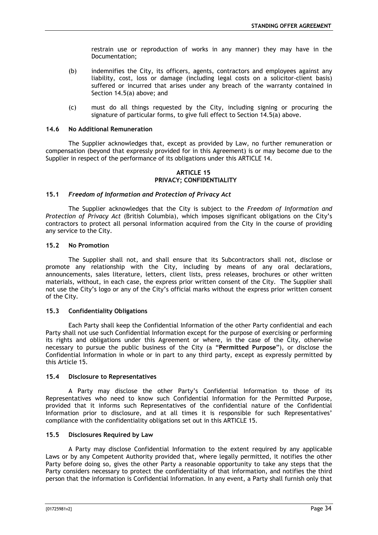restrain use or reproduction of works in any manner) they may have in the Documentation;

- (b) indemnifies the City, its officers, agents, contractors and employees against any liability, cost, loss or damage (including legal costs on a solicitor-client basis) suffered or incurred that arises under any breach of the warranty contained in Section [14.5\(a\)](#page-33-2) above; and
- (c) must do all things requested by the City, including signing or procuring the signature of particular forms, to give full effect to Section [14.5\(a\)](#page-33-2) above.

## <span id="page-34-0"></span>**14.6 No Additional Remuneration**

The Supplier acknowledges that, except as provided by Law, no further remuneration or compensation (beyond that expressly provided for in this Agreement) is or may become due to the Supplier in respect of the performance of its obligations under this [ARTICLE 14.](#page-32-0)

## **ARTICLE 15 PRIVACY; CONFIDENTIALITY**

#### <span id="page-34-2"></span><span id="page-34-1"></span>**15.1** *Freedom of Information and Protection of Privacy Act*

The Supplier acknowledges that the City is subject to the *Freedom of Information and Protection of Privacy Act* (British Columbia), which imposes significant obligations on the City's contractors to protect all personal information acquired from the City in the course of providing any service to the City.

#### <span id="page-34-3"></span>**15.2 No Promotion**

The Supplier shall not, and shall ensure that its Subcontractors shall not, disclose or promote any relationship with the City, including by means of any oral declarations, announcements, sales literature, letters, client lists, press releases, brochures or other written materials, without, in each case, the express prior written consent of the City. The Supplier shall not use the City's logo or any of the City's official marks without the express prior written consent of the City.

## <span id="page-34-4"></span>**15.3 Confidentiality Obligations**

Each Party shall keep the Confidential Information of the other Party confidential and each Party shall not use such Confidential Information except for the purpose of exercising or performing its rights and obligations under this Agreement or where, in the case of the City, otherwise necessary to pursue the public business of the City (a "**Permitted Purpose**"), or disclose the Confidential Information in whole or in part to any third party, except as expressly permitted by this Article 15.

#### <span id="page-34-5"></span>**15.4 Disclosure to Representatives**

A Party may disclose the other Party's Confidential Information to those of its Representatives who need to know such Confidential Information for the Permitted Purpose, provided that it informs such Representatives of the confidential nature of the Confidential Information prior to disclosure, and at all times it is responsible for such Representatives' compliance with the confidentiality obligations set out in this [ARTICLE 15.](#page-34-1)

## <span id="page-34-6"></span>**15.5 Disclosures Required by Law**

A Party may disclose Confidential Information to the extent required by any applicable Laws or by any Competent Authority provided that, where legally permitted, it notifies the other Party before doing so, gives the other Party a reasonable opportunity to take any steps that the Party considers necessary to protect the confidentiality of that information, and notifies the third person that the information is Confidential Information. In any event, a Party shall furnish only that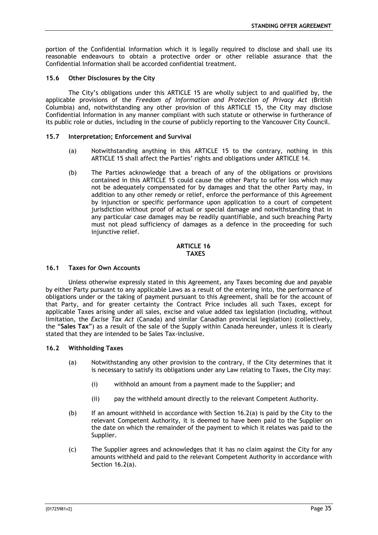portion of the Confidential Information which it is legally required to disclose and shall use its reasonable endeavours to obtain a protective order or other reliable assurance that the Confidential Information shall be accorded confidential treatment.

## <span id="page-35-0"></span>**15.6 Other Disclosures by the City**

The City's obligations under this [ARTICLE 15](#page-34-1) are wholly subject to and qualified by, the applicable provisions of the *Freedom of Information and Protection of Privacy Act* (British Columbia) and, notwithstanding any other provision of this [ARTICLE 15,](#page-34-1) the City may disclose Confidential Information in any manner compliant with such statute or otherwise in furtherance of its public role or duties, including in the course of publicly reporting to the Vancouver City Council.

## <span id="page-35-1"></span>**15.7 Interpretation; Enforcement and Survival**

- (a) Notwithstanding anything in this [ARTICLE 15](#page-34-1) to the contrary, nothing in this [ARTICLE 15](#page-34-1) shall affect the Parties' rights and obligations under [ARTICLE 14.](#page-32-0)
- (b) The Parties acknowledge that a breach of any of the obligations or provisions contained in this [ARTICLE 15](#page-34-1) could cause the other Party to suffer loss which may not be adequately compensated for by damages and that the other Party may, in addition to any other remedy or relief, enforce the performance of this Agreement by injunction or specific performance upon application to a court of competent jurisdiction without proof of actual or special damage and notwithstanding that in any particular case damages may be readily quantifiable, and such breaching Party must not plead sufficiency of damages as a defence in the proceeding for such injunctive relief.

#### **ARTICLE 16 TAXES**

#### <span id="page-35-3"></span><span id="page-35-2"></span>**16.1 Taxes for Own Accounts**

Unless otherwise expressly stated in this Agreement, any Taxes becoming due and payable by either Party pursuant to any applicable Laws as a result of the entering into, the performance of obligations under or the taking of payment pursuant to this Agreement, shall be for the account of that Party, and for greater certainty the Contract Price includes all such Taxes, except for applicable Taxes arising under all sales, excise and value added tax legislation (including, without limitation, the *Excise Tax Act* (Canada) and similar Canadian provincial legislation) (collectively, the "**Sales Tax**") as a result of the sale of the Supply within Canada hereunder, unless it is clearly stated that they are intended to be Sales Tax-inclusive.

#### <span id="page-35-5"></span><span id="page-35-4"></span>**16.2 Withholding Taxes**

- (a) Notwithstanding any other provision to the contrary, if the City determines that it is necessary to satisfy its obligations under any Law relating to Taxes, the City may:
	- (i) withhold an amount from a payment made to the Supplier; and
	- (ii) pay the withheld amount directly to the relevant Competent Authority.
- (b) If an amount withheld in accordance with Section  $16.2(a)$  is paid by the City to the relevant Competent Authority, it is deemed to have been paid to the Supplier on the date on which the remainder of the payment to which it relates was paid to the Supplier.
- (c) The Supplier agrees and acknowledges that it has no claim against the City for any amounts withheld and paid to the relevant Competent Authority in accordance with Section [16.2\(a\).](#page-35-5)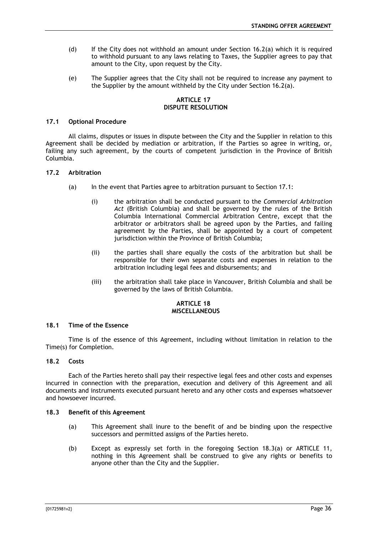- (d) If the City does not withhold an amount under Section [16.2\(a\)](#page-35-5) which it is required to withhold pursuant to any laws relating to Taxes, the Supplier agrees to pay that amount to the City, upon request by the City.
- (e) The Supplier agrees that the City shall not be required to increase any payment to the Supplier by the amount withheld by the City under Section [16.2\(a\).](#page-35-5)

## **ARTICLE 17 DISPUTE RESOLUTION**

## <span id="page-36-1"></span><span id="page-36-0"></span>**17.1 Optional Procedure**

All claims, disputes or issues in dispute between the City and the Supplier in relation to this Agreement shall be decided by mediation or arbitration, if the Parties so agree in writing, or, failing any such agreement, by the courts of competent jurisdiction in the Province of British Columbia.

#### <span id="page-36-2"></span>**17.2 Arbitration**

- (a) In the event that Parties agree to arbitration pursuant to Section [17.1:](#page-36-1)
	- (i) the arbitration shall be conducted pursuant to the *Commercial Arbitration Act* (British Columbia) and shall be governed by the rules of the British Columbia International Commercial Arbitration Centre, except that the arbitrator or arbitrators shall be agreed upon by the Parties, and failing agreement by the Parties, shall be appointed by a court of competent jurisdiction within the Province of British Columbia;
	- (ii) the parties shall share equally the costs of the arbitration but shall be responsible for their own separate costs and expenses in relation to the arbitration including legal fees and disbursements; and
	- (iii) the arbitration shall take place in Vancouver, British Columbia and shall be governed by the laws of British Columbia.

#### **ARTICLE 18 MISCELLANEOUS**

#### <span id="page-36-4"></span><span id="page-36-3"></span>**18.1 Time of the Essence**

Time is of the essence of this Agreement, including without limitation in relation to the Time(s) for Completion.

#### <span id="page-36-5"></span>**18.2 Costs**

Each of the Parties hereto shall pay their respective legal fees and other costs and expenses incurred in connection with the preparation, execution and delivery of this Agreement and all documents and instruments executed pursuant hereto and any other costs and expenses whatsoever and howsoever incurred.

#### <span id="page-36-7"></span><span id="page-36-6"></span>**18.3 Benefit of this Agreement**

- (a) This Agreement shall inure to the benefit of and be binding upon the respective successors and permitted assigns of the Parties hereto.
- (b) Except as expressly set forth in the foregoing Section [18.3\(a\)](#page-36-7) or [ARTICLE 11,](#page-24-6) nothing in this Agreement shall be construed to give any rights or benefits to anyone other than the City and the Supplier.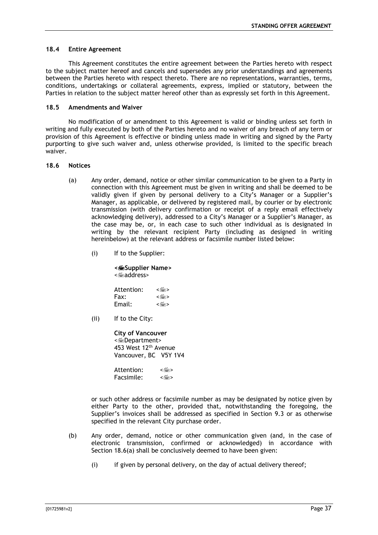#### <span id="page-37-0"></span>**18.4 Entire Agreement**

This Agreement constitutes the entire agreement between the Parties hereto with respect to the subject matter hereof and cancels and supersedes any prior understandings and agreements between the Parties hereto with respect thereto. There are no representations, warranties, terms, conditions, undertakings or collateral agreements, express, implied or statutory, between the Parties in relation to the subject matter hereof other than as expressly set forth in this Agreement.

## <span id="page-37-1"></span>**18.5 Amendments and Waiver**

No modification of or amendment to this Agreement is valid or binding unless set forth in writing and fully executed by both of the Parties hereto and no waiver of any breach of any term or provision of this Agreement is effective or binding unless made in writing and signed by the Party purporting to give such waiver and, unless otherwise provided, is limited to the specific breach waiver.

#### <span id="page-37-3"></span><span id="page-37-2"></span>**18.6 Notices**

- (a) Any order, demand, notice or other similar communication to be given to a Party in connection with this Agreement must be given in writing and shall be deemed to be validly given if given by personal delivery to a City's Manager or a Supplier's Manager, as applicable, or delivered by registered mail, by courier or by electronic transmission (with delivery confirmation or receipt of a reply email effectively acknowledging delivery), addressed to a City's Manager or a Supplier's Manager, as the case may be, or, in each case to such other individual as is designated in writing by the relevant recipient Party (including as designed in writing hereinbelow) at the relevant address or facsimile number listed below:
	- (i) If to the Supplier:

**<Supplier Name>** <address>

| Attention: | < ا‱ > |
|------------|--------|
| Fax:       | ≺⊯≅⊳   |
| Email:     | <া‱    |
|            |        |

(ii) If to the City:

**City of Vancouver** <Department> 453 West 12th Avenue Vancouver, BC V5Y 1V4

Attention: < Facsimile: < $\equiv$ >

or such other address or facsimile number as may be designated by notice given by either Party to the other, provided that, notwithstanding the foregoing, the Supplier's invoices shall be addressed as specified in Section [9.3](#page-23-0) or as otherwise specified in the relevant City purchase order.

- (b) Any order, demand, notice or other communication given (and, in the case of electronic transmission, confirmed or acknowledged) in accordance with Section [18.6\(a\)](#page-37-3) shall be conclusively deemed to have been given:
	- (i) if given by personal delivery, on the day of actual delivery thereof;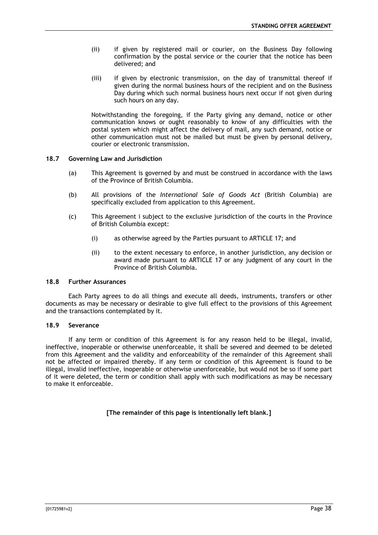- (ii) if given by registered mail or courier, on the Business Day following confirmation by the postal service or the courier that the notice has been delivered; and
- (iii) if given by electronic transmission, on the day of transmittal thereof if given during the normal business hours of the recipient and on the Business Day during which such normal business hours next occur if not given during such hours on any day.

Notwithstanding the foregoing, if the Party giving any demand, notice or other communication knows or ought reasonably to know of any difficulties with the postal system which might affect the delivery of mail, any such demand, notice or other communication must not be mailed but must be given by personal delivery, courier or electronic transmission.

## <span id="page-38-0"></span>**18.7 Governing Law and Jurisdiction**

- (a) This Agreement is governed by and must be construed in accordance with the laws of the Province of British Columbia.
- (b) All provisions of the *International Sale of Goods Act* (British Columbia) are specifically excluded from application to this Agreement.
- (c) This Agreement i subject to the exclusive jurisdiction of the courts in the Province of British Columbia except:
	- (i) as otherwise agreed by the Parties pursuant to [ARTICLE 17;](#page-36-0) and
	- (ii) to the extent necessary to enforce, in another jurisdiction, any decision or award made pursuant to [ARTICLE 17](#page-36-0) or any judgment of any court in the Province of British Columbia.

#### <span id="page-38-1"></span>**18.8 Further Assurances**

Each Party agrees to do all things and execute all deeds, instruments, transfers or other documents as may be necessary or desirable to give full effect to the provisions of this Agreement and the transactions contemplated by it.

#### <span id="page-38-2"></span>**18.9 Severance**

If any term or condition of this Agreement is for any reason held to be illegal, invalid, ineffective, inoperable or otherwise unenforceable, it shall be severed and deemed to be deleted from this Agreement and the validity and enforceability of the remainder of this Agreement shall not be affected or impaired thereby. If any term or condition of this Agreement is found to be illegal, invalid ineffective, inoperable or otherwise unenforceable, but would not be so if some part of it were deleted, the term or condition shall apply with such modifications as may be necessary to make it enforceable.

**[The remainder of this page is intentionally left blank.]**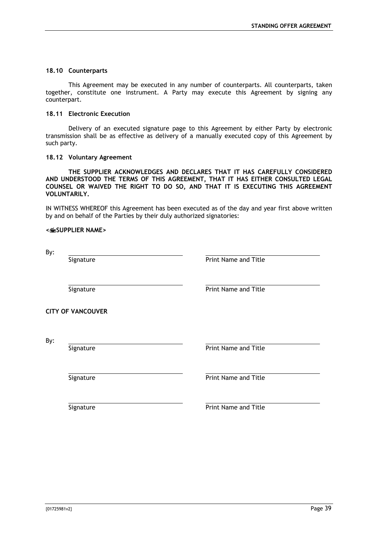## <span id="page-39-0"></span>**18.10 Counterparts**

This Agreement may be executed in any number of counterparts. All counterparts, taken together, constitute one instrument. A Party may execute this Agreement by signing any counterpart.

## <span id="page-39-1"></span>**18.11 Electronic Execution**

Delivery of an executed signature page to this Agreement by either Party by electronic transmission shall be as effective as delivery of a manually executed copy of this Agreement by such party.

## <span id="page-39-2"></span>**18.12 Voluntary Agreement**

**THE SUPPLIER ACKNOWLEDGES AND DECLARES THAT IT HAS CAREFULLY CONSIDERED AND UNDERSTOOD THE TERMS OF THIS AGREEMENT, THAT IT HAS EITHER CONSULTED LEGAL COUNSEL OR WAIVED THE RIGHT TO DO SO, AND THAT IT IS EXECUTING THIS AGREEMENT VOLUNTARILY.**

IN WITNESS WHEREOF this Agreement has been executed as of the day and year first above written by and on behalf of the Parties by their duly authorized signatories:

#### **<SUPPLIER NAME>**

By:

Signature **Print Name and Title** 

Signature **Print Name and Title** 

**CITY OF VANCOUVER**

By:

Signature **Print Name and Title** 

Signature **Print Name and Title** 

Signature **Print Name and Title**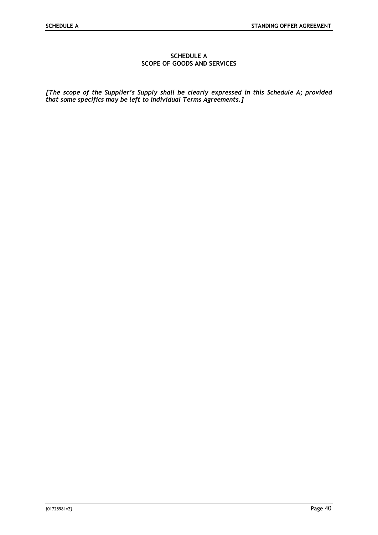## **SCHEDULE A SCOPE OF GOODS AND SERVICES**

<span id="page-40-0"></span>*[The scope of the Supplier's Supply shall be clearly expressed in this Schedule A; provided that some specifics may be left to individual Terms Agreements.]*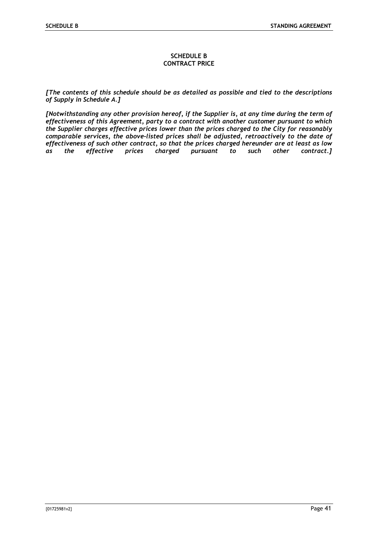#### **SCHEDULE B CONTRACT PRICE**

<span id="page-41-0"></span>*[The contents of this schedule should be as detailed as possible and tied to the descriptions of Supply in Schedule A.]*

*[Notwithstanding any other provision hereof, if the Supplier is, at any time during the term of effectiveness of this Agreement, party to a contract with another customer pursuant to which the Supplier charges effective prices lower than the prices charged to the City for reasonably comparable services, the above-listed prices shall be adjusted, retroactively to the date of effectiveness of such other contract, so that the prices charged hereunder are at least as low as the effective prices charged pursuant to such other contract.]*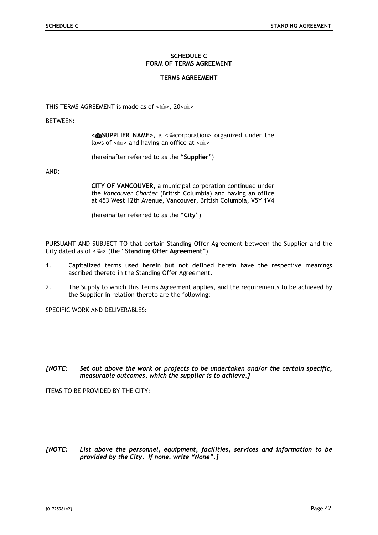## **SCHEDULE C FORM OF TERMS AGREEMENT**

## **TERMS AGREEMENT**

<span id="page-42-0"></span>THIS TERMS AGREEMENT is made as of < $\leq$  >, 20< $\leq$  >

BETWEEN:

**<SUPPLIER NAME>**, a <corporation> organized under the laws of  $\leq$   $\leq$  > and having an office at  $\leq$   $\leq$   $\leq$ 

(hereinafter referred to as the "**Supplier**")

AND:

**CITY OF VANCOUVER**, a municipal corporation continued under the *Vancouver Charter* (British Columbia) and having an office at 453 West 12th Avenue, Vancouver, British Columbia, V5Y 1V4

(hereinafter referred to as the "**City**")

PURSUANT AND SUBJECT TO that certain Standing Offer Agreement between the Supplier and the City dated as of < $\leq$  > (the "Standing Offer Agreement").

- 1. Capitalized terms used herein but not defined herein have the respective meanings ascribed thereto in the Standing Offer Agreement.
- 2. The Supply to which this Terms Agreement applies, and the requirements to be achieved by the Supplier in relation thereto are the following:

SPECIFIC WORK AND DELIVERABLES:

*[NOTE: Set out above the work or projects to be undertaken and/or the certain specific, measurable outcomes, which the supplier is to achieve.]*

ITEMS TO BE PROVIDED BY THE CITY:

*[NOTE: List above the personnel, equipment, facilities, services and information to be provided by the City. If none, write "None".]*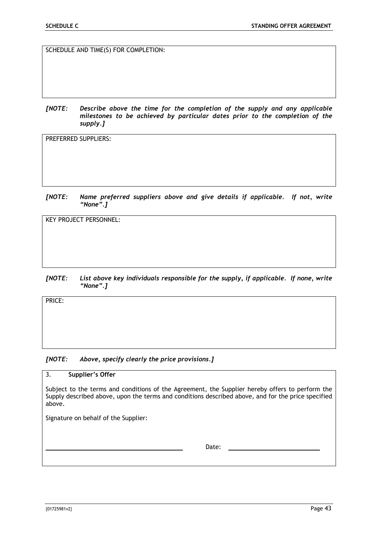SCHEDULE AND TIME(S) FOR COMPLETION:

*[NOTE: Describe above the time for the completion of the supply and any applicable milestones to be achieved by particular dates prior to the completion of the supply.]*

PREFERRED SUPPLIERS:

*[NOTE: Name preferred suppliers above and give details if applicable. If not, write "None".]*

KEY PROJECT PERSONNEL:

## *[NOTE: List above key individuals responsible for the supply, if applicable. If none, write "None".]*

PRICE:

## *[NOTE: Above, specify clearly the price provisions.]*

## 3. **Supplier's Offer**

Subject to the terms and conditions of the Agreement, the Supplier hereby offers to perform the Supply described above, upon the terms and conditions described above, and for the price specified above.

Signature on behalf of the Supplier:

Date: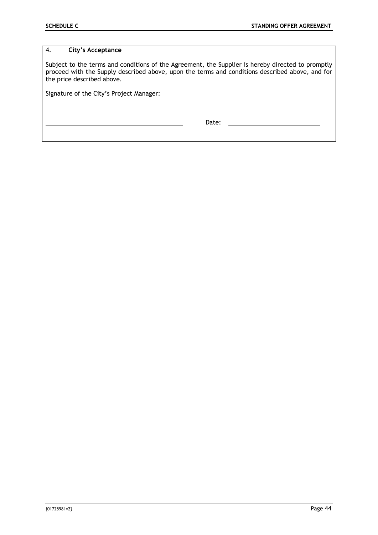## 4. **City's Acceptance**

Subject to the terms and conditions of the Agreement, the Supplier is hereby directed to promptly proceed with the Supply described above, upon the terms and conditions described above, and for the price described above.

Signature of the City's Project Manager:

Date: